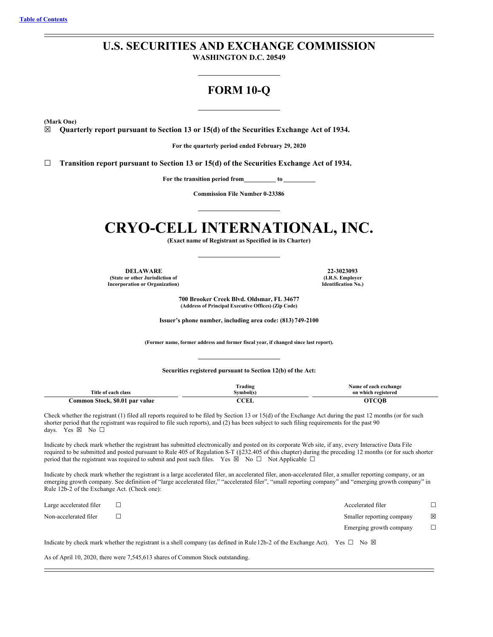# **U.S. SECURITIES AND EXCHANGE COMMISSION WASHINGTON D.C. 20549**

# **FORM 10-Q**

**(Mark One)**

☒ **Quarterly report pursuant to Section 13 or 15(d) of the Securities Exchange Act of 1934.**

**For the quarterly period ended February 29, 2020**

☐ **Transition report pursuant to Section 13 or 15(d) of the Securities Exchange Act of 1934.**

**For the transition period from to**

**Commission File Number 0-23386**

# **CRYO-CELL INTERNATIONAL, INC.**

**(Exact name of Registrant as Specified in its Charter)**

**DELAWARE 22-3023093 (State or other Jurisdiction of Incorporation or Organization)**

**(I.R.S. Employer Identification No.)**

**700 Brooker Creek Blvd. Oldsmar, FL 34677 (Address of Principal Executive Offices) (Zip Code)**

**Issuer's phone number, including area code: (813) 749-2100**

**(Former name, former address and former fiscal year, if changed since last report).**

**Securities registered pursuant to Section 12(b) of the Act:**

|                                                        | <b>Trading</b> | Name of each exchange |
|--------------------------------------------------------|----------------|-----------------------|
| Title of each class                                    | Svmbol(s)      | on which registered   |
| Common Stock, \$0.01 par value<br>$\sim$ $\sim$ $\sim$ | °CE1<br>___    |                       |

Check whether the registrant (1) filed all reports required to be filed by Section 13 or 15(d) of the Exchange Act during the past 12 months (or for such shorter period that the registrant was required to file such reports), and (2) has been subject to such filing requirements for the past 90 days. Yes  $\boxtimes$  No  $\square$ 

Indicate by check mark whether the registrant has submitted electronically and posted on its corporate Web site, if any, every Interactive Data File required to be submitted and posted pursuant to Rule 405 of Regulation S-T (§232.405 of this chapter) during the preceding 12 months (or for such shorter period that the registrant was required to submit and post such files. Yes  $\boxtimes$  No  $\Box$  Not Applicable  $\Box$ 

Indicate by check mark whether the registrant is a large accelerated filer, an accelerated filer, anon-accelerated filer, a smaller reporting company, or an emerging growth company. See definition of "large accelerated filer," "accelerated filer", "small reporting company" and "emerging growth company" in Rule 12b-2 of the Exchange Act. (Check one):

| Large accelerated filer | Accelerated filer         |             |
|-------------------------|---------------------------|-------------|
| Non-accelerated filer   | Smaller reporting company | $\boxtimes$ |
|                         | Emerging growth company   |             |
|                         |                           |             |

Indicate by check mark whether the registrant is a shell company (as defined in Rule 12b-2 of the Exchange Act). Yes  $\Box$  No  $\boxtimes$ 

As of April 10, 2020, there were 7,545,613 shares of Common Stock outstanding.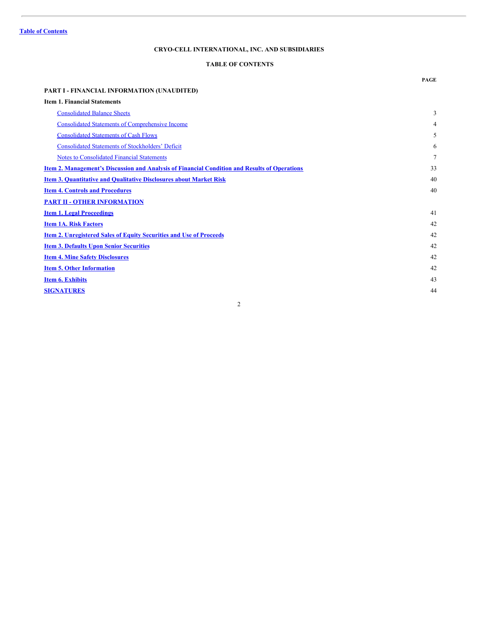# <span id="page-1-0"></span>**TABLE OF CONTENTS**

|                                                                                               | <b>PAGE</b> |
|-----------------------------------------------------------------------------------------------|-------------|
| PART I - FINANCIAL INFORMATION (UNAUDITED)                                                    |             |
| <b>Item 1. Financial Statements</b>                                                           |             |
| <b>Consolidated Balance Sheets</b>                                                            | 3           |
| <b>Consolidated Statements of Comprehensive Income</b>                                        | 4           |
| <b>Consolidated Statements of Cash Flows</b>                                                  | 5           |
| <b>Consolidated Statements of Stockholders' Deficit</b>                                       | 6           |
| <b>Notes to Consolidated Financial Statements</b>                                             | 7           |
| Item 2. Management's Discussion and Analysis of Financial Condition and Results of Operations | 33          |
| <b>Item 3. Quantitative and Qualitative Disclosures about Market Risk</b>                     | 40          |
| <b>Item 4. Controls and Procedures</b>                                                        | 40          |
| <b>PART II - OTHER INFORMATION</b>                                                            |             |
| <b>Item 1. Legal Proceedings</b>                                                              | 41          |
| <b>Item 1A. Risk Factors</b>                                                                  | 42          |
| <b>Item 2. Unregistered Sales of Equity Securities and Use of Proceeds</b>                    | 42          |
| <b>Item 3. Defaults Upon Senior Securities</b>                                                | 42          |
| <b>Item 4. Mine Safety Disclosures</b>                                                        | 42          |
| <b>Item 5. Other Information</b>                                                              | 42          |
| <b>Item 6. Exhibits</b>                                                                       | 43          |
| <b>SIGNATURES</b>                                                                             | 44          |
|                                                                                               |             |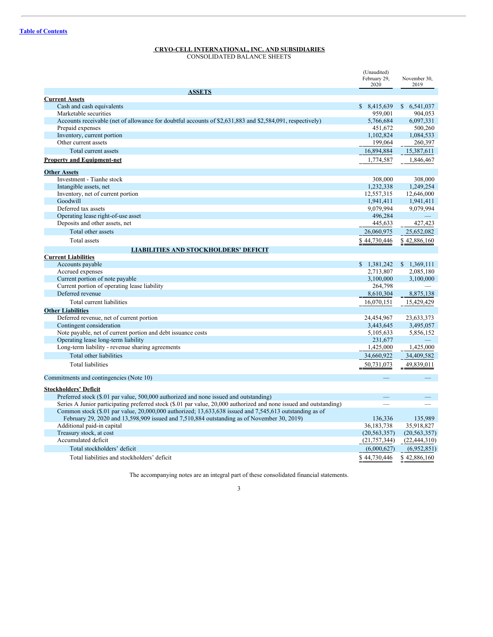#### <span id="page-2-0"></span>**CRYO-CELL INTERNATIONAL, INC. AND SUBSIDIARIES** CONSOLIDATED BALANCE SHEETS

| (Unaudited)<br>February 29,<br>November 30,<br>2020                                                                  |                |                |  |  |  |  |
|----------------------------------------------------------------------------------------------------------------------|----------------|----------------|--|--|--|--|
| <b>ASSETS</b>                                                                                                        |                |                |  |  |  |  |
| <b>Current Assets</b>                                                                                                |                |                |  |  |  |  |
| Cash and cash equivalents                                                                                            | \$ 8,415,639   | \$6,541,037    |  |  |  |  |
| Marketable securities                                                                                                | 959.001        | 904.053        |  |  |  |  |
| Accounts receivable (net of allowance for doubtful accounts of \$2,631,883 and \$2,584,091, respectively)            | 5,766,684      | 6,097,331      |  |  |  |  |
| Prepaid expenses                                                                                                     | 451,672        | 500,260        |  |  |  |  |
| Inventory, current portion                                                                                           | 1,102,824      | 1,084,533      |  |  |  |  |
| Other current assets                                                                                                 | 199,064        | 260,397        |  |  |  |  |
| Total current assets                                                                                                 | 16.894.884     | 15,387,611     |  |  |  |  |
| <b>Property and Equipment-net</b>                                                                                    | 1,774,587      | 1,846,467      |  |  |  |  |
| <b>Other Assets</b>                                                                                                  |                |                |  |  |  |  |
| Investment - Tianhe stock                                                                                            | 308,000        | 308,000        |  |  |  |  |
| Intangible assets, net                                                                                               | 1,232,338      | 1,249,254      |  |  |  |  |
| Inventory, net of current portion                                                                                    | 12,557,315     | 12,646,000     |  |  |  |  |
| Goodwill                                                                                                             | 1,941,411      | 1,941,411      |  |  |  |  |
| Deferred tax assets                                                                                                  | 9,079,994      | 9,079,994      |  |  |  |  |
| Operating lease right-of-use asset                                                                                   | 496,284        |                |  |  |  |  |
| Deposits and other assets, net                                                                                       | 445,633        | 427,423        |  |  |  |  |
| Total other assets                                                                                                   | 26,060,975     | 25,652,082     |  |  |  |  |
| Total assets                                                                                                         | \$44,730,446   | \$42,886,160   |  |  |  |  |
| <b>LIABILITIES AND STOCKHOLDERS' DEFICIT</b>                                                                         |                |                |  |  |  |  |
| <b>Current Liabilities</b>                                                                                           |                |                |  |  |  |  |
| Accounts payable                                                                                                     | \$1,381,242    | \$1,369,111    |  |  |  |  |
| Accrued expenses                                                                                                     | 2,713,807      | 2,085,180      |  |  |  |  |
| Current portion of note payable                                                                                      | 3,100,000      | 3,100,000      |  |  |  |  |
| Current portion of operating lease liability                                                                         | 264,798        |                |  |  |  |  |
| Deferred revenue                                                                                                     | 8,610,304      | 8,875,138      |  |  |  |  |
| Total current liabilities                                                                                            | 16,070,151     | 15,429,429     |  |  |  |  |
| <b>Other Liabilities</b>                                                                                             |                |                |  |  |  |  |
| Deferred revenue, net of current portion                                                                             | 24,454,967     | 23,633,373     |  |  |  |  |
| Contingent consideration                                                                                             | 3,443,645      | 3,495,057      |  |  |  |  |
| Note payable, net of current portion and debt issuance costs                                                         | 5,105,633      | 5,856,152      |  |  |  |  |
| Operating lease long-term liability                                                                                  | 231,677        |                |  |  |  |  |
| Long-term liability - revenue sharing agreements                                                                     | 1,425,000      | 1,425,000      |  |  |  |  |
| Total other liabilities                                                                                              | 34,660,922     | 34,409,582     |  |  |  |  |
| <b>Total liabilities</b>                                                                                             | 50,731,073     | 49,839,011     |  |  |  |  |
| Commitments and contingencies (Note 10)                                                                              |                |                |  |  |  |  |
| <b>Stockholders' Deficit</b>                                                                                         |                |                |  |  |  |  |
| Preferred stock (\$.01 par value, 500,000 authorized and none issued and outstanding)                                |                |                |  |  |  |  |
| Series A Junior participating preferred stock $(\$.01$ par value, 20,000 authorized and none issued and outstanding) |                |                |  |  |  |  |
| Common stock $(\$.01$ par value, $20,000,000$ authorized; 13,633,638 issued and 7,545,613 outstanding as of          |                |                |  |  |  |  |
| February 29, 2020 and 13,598,909 issued and 7,510,884 outstanding as of November 30, 2019)                           | 136,336        | 135,989        |  |  |  |  |
| Additional paid-in capital                                                                                           | 36,183,738     | 35,918,827     |  |  |  |  |
| Treasury stock, at cost                                                                                              | (20, 563, 357) | (20, 563, 357) |  |  |  |  |
| Accumulated deficit                                                                                                  | (21, 757, 344) | (22, 444, 310) |  |  |  |  |
| Total stockholders' deficit                                                                                          | (6,000,627)    | (6,952,851)    |  |  |  |  |
| Total liabilities and stockholders' deficit                                                                          | \$44,730,446   | \$42,886,160   |  |  |  |  |
|                                                                                                                      |                |                |  |  |  |  |

The accompanying notes are an integral part of these consolidated financial statements.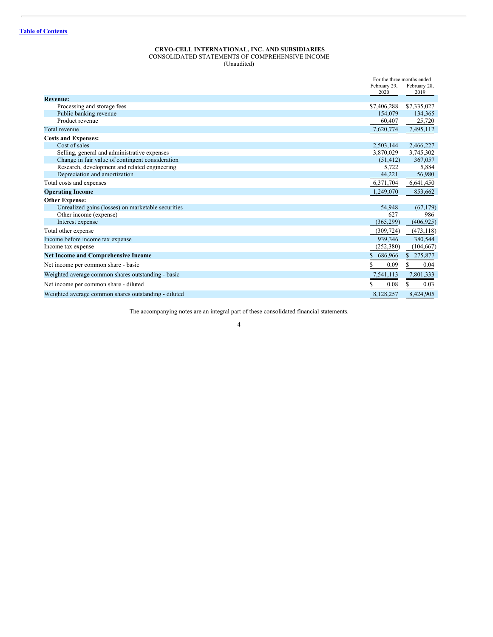<span id="page-3-0"></span>CONSOLIDATED STATEMENTS OF COMPREHENSIVE INCOME

(Unaudited)

|                                                      | For the three months ended |                      |
|------------------------------------------------------|----------------------------|----------------------|
|                                                      | February 29,<br>2020       | February 28,<br>2019 |
| <b>Revenue:</b>                                      |                            |                      |
| Processing and storage fees                          | \$7,406,288                | \$7,335,027          |
| Public banking revenue                               | 154,079                    | 134,365              |
| Product revenue                                      | 60,407                     | 25,720               |
| Total revenue                                        | 7,620,774                  | 7,495,112            |
| <b>Costs and Expenses:</b>                           |                            |                      |
| Cost of sales                                        | 2,503,144                  | 2,466,227            |
| Selling, general and administrative expenses         | 3,870,029                  | 3,745,302            |
| Change in fair value of contingent consideration     | (51, 412)                  | 367,057              |
| Research, development and related engineering        | 5,722                      | 5,884                |
| Depreciation and amortization                        | 44,221                     | 56,980               |
| Total costs and expenses                             | 6,371,704                  | 6,641,450            |
| <b>Operating Income</b>                              | 1,249,070                  | 853,662              |
| <b>Other Expense:</b>                                |                            |                      |
| Unrealized gains (losses) on marketable securities   | 54,948                     | (67, 179)            |
| Other income (expense)                               | 627                        | 986                  |
| Interest expense                                     | (365,299)                  | (406, 925)           |
| Total other expense                                  | (309, 724)                 | (473, 118)           |
| Income before income tax expense                     | 939,346                    | 380,544              |
| Income tax expense                                   | (252, 380)                 | (104, 667)           |
| <b>Net Income and Comprehensive Income</b>           | 686,966                    | \$275,877            |
| Net income per common share - basic                  | \$<br>0.09                 | \$<br>0.04           |
| Weighted average common shares outstanding - basic   | 7,541,113                  | 7,801,333            |
| Net income per common share - diluted                | 0.08                       | 0.03                 |
| Weighted average common shares outstanding - diluted | 8,128,257                  | 8,424,905            |

The accompanying notes are an integral part of these consolidated financial statements.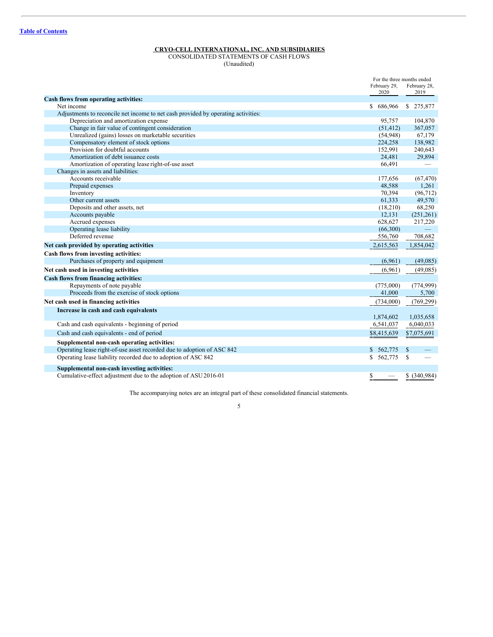<span id="page-4-0"></span>CONSOLIDATED STATEMENTS OF CASH FLOWS (Unaudited)

|                                                                                   | For the three months ended<br>February 29,<br>2020 | February 28,<br>2019 |
|-----------------------------------------------------------------------------------|----------------------------------------------------|----------------------|
| Cash flows from operating activities:                                             |                                                    |                      |
| Net income                                                                        | \$686,966                                          | \$ 275,877           |
| Adjustments to reconcile net income to net cash provided by operating activities: |                                                    |                      |
| Depreciation and amortization expense                                             | 95,757                                             | 104,870              |
| Change in fair value of contingent consideration                                  | (51, 412)                                          | 367,057              |
| Unrealized (gains) losses on marketable securities                                | (54, 948)                                          | 67,179               |
| Compensatory element of stock options                                             | 224,258                                            | 138,982              |
| Provision for doubtful accounts                                                   | 152,991                                            | 240,643              |
| Amortization of debt issuance costs                                               | 24,481                                             | 29,894               |
| Amortization of operating lease right-of-use asset                                | 66,491                                             |                      |
| Changes in assets and liabilities:                                                |                                                    |                      |
| Accounts receivable                                                               | 177,656                                            | (67, 470)            |
| Prepaid expenses                                                                  | 48,588                                             | 1,261                |
| Inventory                                                                         | 70,394                                             | (96, 712)            |
| Other current assets                                                              | 61,333                                             | 49,570               |
| Deposits and other assets, net                                                    | (18,210)                                           | 68,250               |
| Accounts payable                                                                  | 12,131                                             | (251, 261)           |
| Accrued expenses                                                                  | 628,627                                            | 217,220              |
| Operating lease liability                                                         | (66,300)                                           |                      |
| Deferred revenue                                                                  | 556,760                                            | 708,682              |
| Net cash provided by operating activities                                         | 2,615,563                                          | 1,854,042            |
| Cash flows from investing activities:                                             |                                                    |                      |
| Purchases of property and equipment                                               | (6,961)                                            | (49,085)             |
| Net cash used in investing activities                                             | (6,961)                                            | (49,085)             |
| Cash flows from financing activities:                                             |                                                    |                      |
| Repayments of note payable                                                        | (775,000)                                          | (774, 999)           |
| Proceeds from the exercise of stock options                                       | 41,000                                             | 5,700                |
| Net cash used in financing activities                                             | (734,000)                                          | (769, 299)           |
| Increase in cash and cash equivalents                                             |                                                    |                      |
|                                                                                   | 1,874,602                                          | 1,035,658            |
| Cash and cash equivalents - beginning of period                                   | 6,541,037                                          | 6,040,033            |
| Cash and cash equivalents - end of period                                         | \$8,415,639                                        | \$7,075,691          |
| Supplemental non-cash operating activities:                                       |                                                    |                      |
| Operating lease right-of-use asset recorded due to adoption of ASC 842            | \$562,775                                          | <sup>\$</sup>        |
| Operating lease liability recorded due to adoption of ASC 842                     | \$562,775                                          | \$.                  |
|                                                                                   |                                                    |                      |
| Supplemental non-cash investing activities:                                       |                                                    |                      |
| Cumulative-effect adjustment due to the adoption of ASU 2016-01                   | \$                                                 | \$ (340,984)         |

The accompanying notes are an integral part of these consolidated financial statements.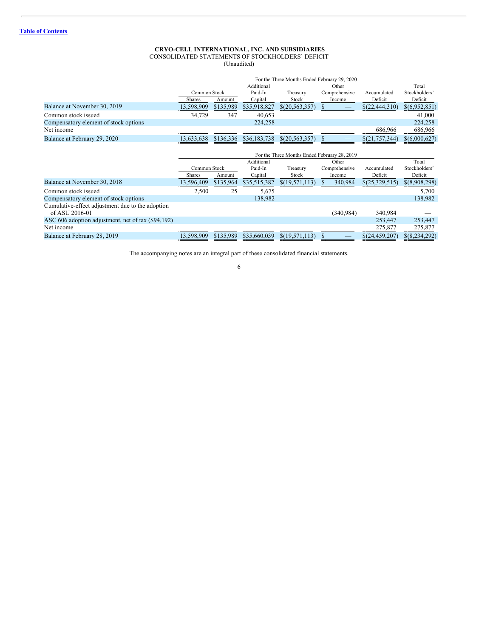<span id="page-5-0"></span>CONSOLIDATED STATEMENTS OF STOCKHOLDERS' DEFICIT

(Unaudited)

|                                                    |               |           |              | For the Three Months Ended February 29, 2020 |               |                |               |
|----------------------------------------------------|---------------|-----------|--------------|----------------------------------------------|---------------|----------------|---------------|
|                                                    |               |           | Additional   |                                              | Other         |                | Total         |
|                                                    | Common Stock  |           | Paid-In      | Treasury                                     | Comprehensive | Accumulated    | Stockholders' |
|                                                    | Shares        | Amount    | Capital      | Stock                                        | Income        | Deficit        | Deficit       |
| Balance at November 30, 2019                       | 3,598,909     | \$135,989 | \$35,918,827 | \$(20,563,357)                               | \$            | \$(22,444,310) | \$(6,952,851) |
| Common stock issued                                | 34,729        | 347       | 40,653       |                                              |               |                | 41,000        |
| Compensatory element of stock options              |               |           | 224,258      |                                              |               |                | 224,258       |
| Net income                                         |               |           |              |                                              |               | 686,966        | 686,966       |
| Balance at February 29, 2020                       | 13,633,638    | \$136,336 | \$36,183,738 | \$(20,563,357)                               | S             | \$(21,757,344) | \$(6,000,627) |
|                                                    |               |           |              |                                              |               |                |               |
|                                                    |               |           |              | For the Three Months Ended February 28, 2019 |               |                |               |
|                                                    |               |           | Additional   |                                              | Other         |                | Total         |
|                                                    | Common Stock  |           | Paid-In      | Treasury                                     | Comprehensive | Accumulated    | Stockholders' |
|                                                    | <b>Shares</b> | Amount    | Capital      | Stock                                        | Income        | Deficit        | Deficit       |
| Balance at November 30, 2018                       | 13,596,409    | \$135,964 | \$35,515,382 | \$(19,571,113)                               | 340,984<br>\$ | \$(25,329,515) | \$(8,908,298) |
| Common stock issued                                | 2,500         | 25        | 5,675        |                                              |               |                | 5,700         |
| Compensatory element of stock options              |               |           | 138,982      |                                              |               |                | 138,982       |
| Cumulative-effect adjustment due to the adoption   |               |           |              |                                              |               |                |               |
| of ASU 2016-01                                     |               |           |              |                                              | (340, 984)    | 340,984        |               |
| ASC 606 adoption adjustment, net of tax (\$94,192) |               |           |              |                                              |               | 253,447        | 253,447       |
| Net income                                         |               |           |              |                                              |               | 275,877        | 275,877       |

The accompanying notes are an integral part of these consolidated financial statements.

Balance at February 28, 2019 13,598,909 \$135,989 \$35,660,039 \$(19,571,113) \$ — \$(24,459,207) \$(8,234,292)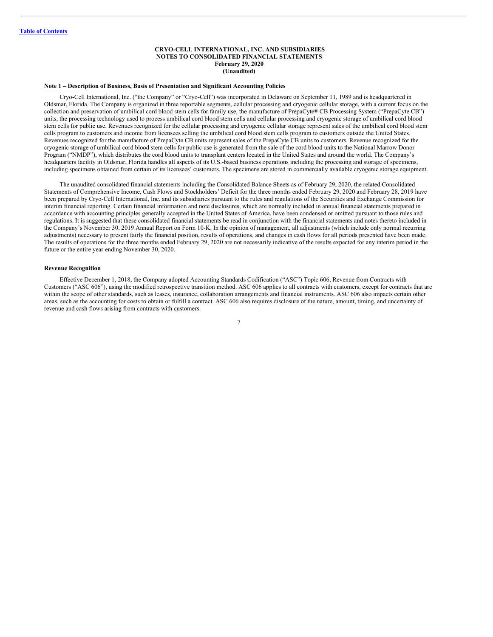## <span id="page-6-0"></span>**CRYO-CELL INTERNATIONAL, INC. AND SUBSIDIARIES NOTES TO CONSOLIDATED FINANCIAL STATEMENTS February 29, 2020 (Unaudited)**

#### **Note 1 – Description of Business, Basis of Presentation and Significant Accounting Policies**

Cryo-Cell International, Inc. ("the Company" or "Cryo-Cell") was incorporated in Delaware on September 11, 1989 and is headquartered in Oldsmar, Florida. The Company is organized in three reportable segments, cellular processing and cryogenic cellular storage, with a current focus on the collection and preservation of umbilical cord blood stem cells for family use, the manufacture of PrepaCyte® CB Processing System ("PrepaCyte CB") units, the processing technology used to process umbilical cord blood stem cells and cellular processing and cryogenic storage of umbilical cord blood stem cells for public use. Revenues recognized for the cellular processing and cryogenic cellular storage represent sales of the umbilical cord blood stem cells program to customers and income from licensees selling the umbilical cord blood stem cells program to customers outside the United States. Revenues recognized for the manufacture of PrepaCyte CB units represent sales of the PrepaCyte CB units to customers. Revenue recognized for the cryogenic storage of umbilical cord blood stem cells for public use is generated from the sale of the cord blood units to the National Marrow Donor Program ("NMDP"), which distributes the cord blood units to transplant centers located in the United States and around the world. The Company's headquarters facility in Oldsmar, Florida handles all aspects of its U.S.-based business operations including the processing and storage of specimens, including specimens obtained from certain of its licensees' customers. The specimens are stored in commercially available cryogenic storage equipment.

The unaudited consolidated financial statements including the Consolidated Balance Sheets as of February 29, 2020, the related Consolidated Statements of Comprehensive Income, Cash Flows and Stockholders' Deficit for the three months ended February 29, 2020 and February 28, 2019 have been prepared by Cryo-Cell International, Inc. and its subsidiaries pursuant to the rules and regulations of the Securities and Exchange Commission for interim financial reporting. Certain financial information and note disclosures, which are normally included in annual financial statements prepared in accordance with accounting principles generally accepted in the United States of America, have been condensed or omitted pursuant to those rules and regulations. It is suggested that these consolidated financial statements be read in conjunction with the financial statements and notes thereto included in the Company's November 30, 2019 Annual Report on Form 10-K. In the opinion of management, all adjustments (which include only normal recurring adjustments) necessary to present fairly the financial position, results of operations, and changes in cash flows for all periods presented have been made. The results of operations for the three months ended February 29, 2020 are not necessarily indicative of the results expected for any interim period in the future or the entire year ending November 30, 2020.

#### **Revenue Recognition**

Effective December 1, 2018, the Company adopted Accounting Standards Codification ("ASC") Topic 606, Revenue from Contracts with Customers ("ASC 606"), using the modified retrospective transition method. ASC 606 applies to all contracts with customers, except for contracts that are within the scope of other standards, such as leases, insurance, collaboration arrangements and financial instruments. ASC 606 also impacts certain other areas, such as the accounting for costs to obtain or fulfill a contract. ASC 606 also requires disclosure of the nature, amount, timing, and uncertainty of revenue and cash flows arising from contracts with customers.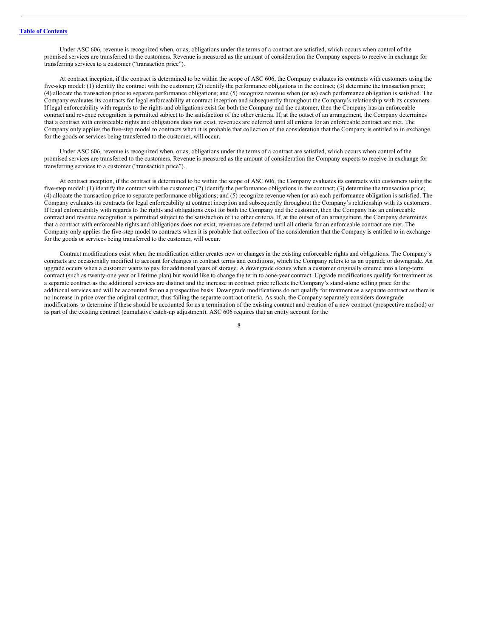Under ASC 606, revenue is recognized when, or as, obligations under the terms of a contract are satisfied, which occurs when control of the promised services are transferred to the customers. Revenue is measured as the amount of consideration the Company expects to receive in exchange for transferring services to a customer ("transaction price").

At contract inception, if the contract is determined to be within the scope of ASC 606, the Company evaluates its contracts with customers using the five-step model: (1) identify the contract with the customer; (2) identify the performance obligations in the contract; (3) determine the transaction price; (4) allocate the transaction price to separate performance obligations; and (5) recognize revenue when (or as) each performance obligation is satisfied. The Company evaluates its contracts for legal enforceability at contract inception and subsequently throughout the Company's relationship with its customers. If legal enforceability with regards to the rights and obligations exist for both the Company and the customer, then the Company has an enforceable contract and revenue recognition is permitted subject to the satisfaction of the other criteria. If, at the outset of an arrangement, the Company determines that a contract with enforceable rights and obligations does not exist, revenues are deferred until all criteria for an enforceable contract are met. The Company only applies the five-step model to contracts when it is probable that collection of the consideration that the Company is entitled to in exchange for the goods or services being transferred to the customer, will occur.

Under ASC 606, revenue is recognized when, or as, obligations under the terms of a contract are satisfied, which occurs when control of the promised services are transferred to the customers. Revenue is measured as the amount of consideration the Company expects to receive in exchange for transferring services to a customer ("transaction price").

At contract inception, if the contract is determined to be within the scope of ASC 606, the Company evaluates its contracts with customers using the five-step model: (1) identify the contract with the customer; (2) identify the performance obligations in the contract; (3) determine the transaction price; (4) allocate the transaction price to separate performance obligations; and (5) recognize revenue when (or as) each performance obligation is satisfied. The Company evaluates its contracts for legal enforceability at contract inception and subsequently throughout the Company's relationship with its customers. If legal enforceability with regards to the rights and obligations exist for both the Company and the customer, then the Company has an enforceable contract and revenue recognition is permitted subject to the satisfaction of the other criteria. If, at the outset of an arrangement, the Company determines that a contract with enforceable rights and obligations does not exist, revenues are deferred until all criteria for an enforceable contract are met. The Company only applies the five-step model to contracts when it is probable that collection of the consideration that the Company is entitled to in exchange for the goods or services being transferred to the customer, will occur.

Contract modifications exist when the modification either creates new or changes in the existing enforceable rights and obligations. The Company's contracts are occasionally modified to account for changes in contract terms and conditions, which the Company refers to as an upgrade or downgrade. An upgrade occurs when a customer wants to pay for additional years of storage. A downgrade occurs when a customer originally entered into a long-term contract (such as twenty-one year or lifetime plan) but would like to change the term to aone-year contract. Upgrade modifications qualify for treatment as a separate contract as the additional services are distinct and the increase in contract price reflects the Company's stand-alone selling price for the additional services and will be accounted for on a prospective basis. Downgrade modifications do not qualify for treatment as a separate contract as there is no increase in price over the original contract, thus failing the separate contract criteria. As such, the Company separately considers downgrade modifications to determine if these should be accounted for as a termination of the existing contract and creation of a new contract (prospective method) or as part of the existing contract (cumulative catch-up adjustment). ASC 606 requires that an entity account for the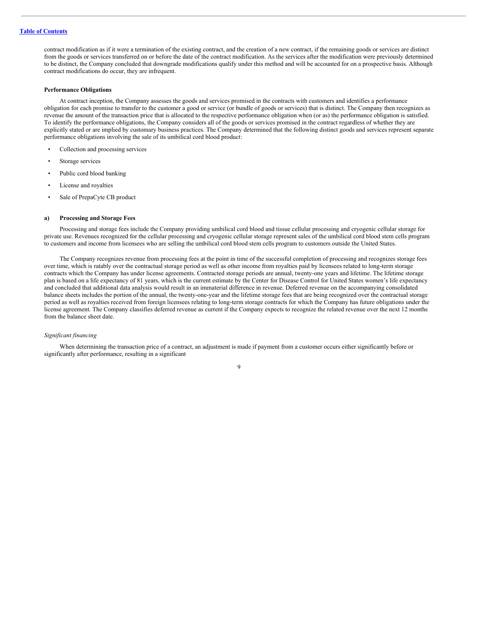contract modification as if it were a termination of the existing contract, and the creation of a new contract, if the remaining goods or services are distinct from the goods or services transferred on or before the date of the contract modification. As the services after the modification were previously determined to be distinct, the Company concluded that downgrade modifications qualify under this method and will be accounted for on a prospective basis. Although contract modifications do occur, they are infrequent.

## **Performance Obligations**

At contract inception, the Company assesses the goods and services promised in the contracts with customers and identifies a performance obligation for each promise to transfer to the customer a good or service (or bundle of goods or services) that is distinct. The Company then recognizes as revenue the amount of the transaction price that is allocated to the respective performance obligation when (or as) the performance obligation is satisfied. To identify the performance obligations, the Company considers all of the goods or services promised in the contract regardless of whether they are explicitly stated or are implied by customary business practices. The Company determined that the following distinct goods and services represent separate performance obligations involving the sale of its umbilical cord blood product:

- Collection and processing services
- Storage services
- Public cord blood banking
- License and royalties
- Sale of PrepaCyte CB product

#### **a) Processing and Storage Fees**

Processing and storage fees include the Company providing umbilical cord blood and tissue cellular processing and cryogenic cellular storage for private use. Revenues recognized for the cellular processing and cryogenic cellular storage represent sales of the umbilical cord blood stem cells program to customers and income from licensees who are selling the umbilical cord blood stem cells program to customers outside the United States.

The Company recognizes revenue from processing fees at the point in time of the successful completion of processing and recognizes storage fees over time, which is ratably over the contractual storage period as well as other income from royalties paid by licensees related to long-term storage contracts which the Company has under license agreements. Contracted storage periods are annual, twenty-one years and lifetime. The lifetime storage plan is based on a life expectancy of 81 years, which is the current estimate by the Center for Disease Control for United States women's life expectancy and concluded that additional data analysis would result in an immaterial difference in revenue. Deferred revenue on the accompanying consolidated balance sheets includes the portion of the annual, the twenty-one-year and the lifetime storage fees that are being recognized over the contractual storage period as well as royalties received from foreign licensees relating to long-term storage contracts for which the Company has future obligations under the license agreement. The Company classifies deferred revenue as current if the Company expects to recognize the related revenue over the next 12 months from the balance sheet date.

## *Significant financing*

When determining the transaction price of a contract, an adjustment is made if payment from a customer occurs either significantly before or significantly after performance, resulting in a significant

## $\overline{Q}$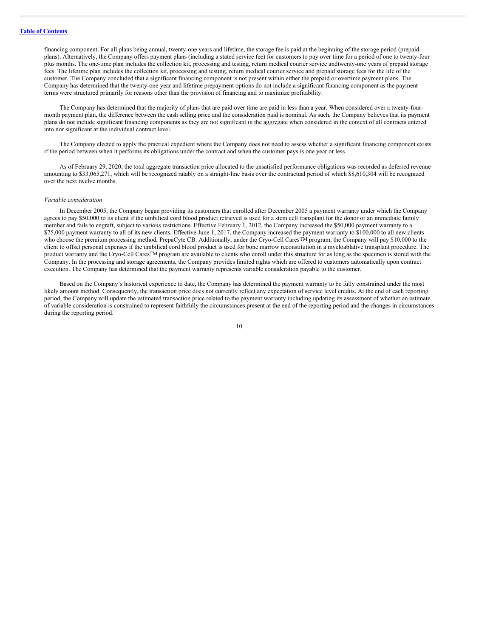financing component. For all plans being annual, twenty-one years and lifetime, the storage fee is paid at the beginning of the storage period (prepaid plans). Alternatively, the Company offers payment plans (including a stated service fee) for customers to pay over time for a period of one to twenty-four plus months. The one-time plan includes the collection kit, processing and testing, return medical courier service andtwenty-one years of prepaid storage fees. The lifetime plan includes the collection kit, processing and testing, return medical courier service and prepaid storage fees for the life of the customer. The Company concluded that a significant financing component is not present within either the prepaid or overtime payment plans. The Company has determined that the twenty-one year and lifetime prepayment options do not include a significant financing component as the payment terms were structured primarily for reasons other than the provision of financing and to maximize profitability.

The Company has determined that the majority of plans that are paid over time are paid in less than a year. When considered over a twenty-fourmonth payment plan, the difference between the cash selling price and the consideration paid is nominal. As such, the Company believes that its payment plans do not include significant financing components as they are not significant in the aggregate when considered in the context of all contracts entered into nor significant at the individual contract level.

The Company elected to apply the practical expedient where the Company does not need to assess whether a significant financing component exists if the period between when it performs its obligations under the contract and when the customer pays is one year or less.

As of February 29, 2020, the total aggregate transaction price allocated to the unsatisfied performance obligations was recorded as deferred revenue amounting to \$33,065,271, which will be recognized ratably on a straight-line basis over the contractual period of which \$8,610,304 will be recognized over the next twelve months.

## *Variable consideration*

In December 2005, the Company began providing its customers that enrolled after December 2005 a payment warranty under which the Company agrees to pay \$50,000 to its client if the umbilical cord blood product retrieved is used for a stem cell transplant for the donor or an immediate family member and fails to engraft, subject to various restrictions. Effective February 1, 2012, the Company increased the \$50,000 payment warranty to a \$75,000 payment warranty to all of its new clients. Effective June 1, 2017, the Company increased the payment warranty to \$100,000 to all new clients who choose the premium processing method, PrepaCyte CB. Additionally, under the Cryo-Cell CaresTM program, the Company will pay \$10,000 to the client to offset personal expenses if the umbilical cord blood product is used for bone marrow reconstitution in a myeloablative transplant procedure. The product warranty and the Cryo-Cell CaresTM program are available to clients who enroll under this structure for as long as the specimen is stored with the Company. In the processing and storage agreements, the Company provides limited rights which are offered to customers automatically upon contract execution. The Company has determined that the payment warranty represents variable consideration payable to the customer.

Based on the Company's historical experience to date, the Company has determined the payment warranty to be fully constrained under the most likely amount method. Consequently, the transaction price does not currently reflect any expectation of service level credits. At the end of each reporting period, the Company will update the estimated transaction price related to the payment warranty including updating its assessment of whether an estimate of variable consideration is constrained to represent faithfully the circumstances present at the end of the reporting period and the changes in circumstances during the reporting period.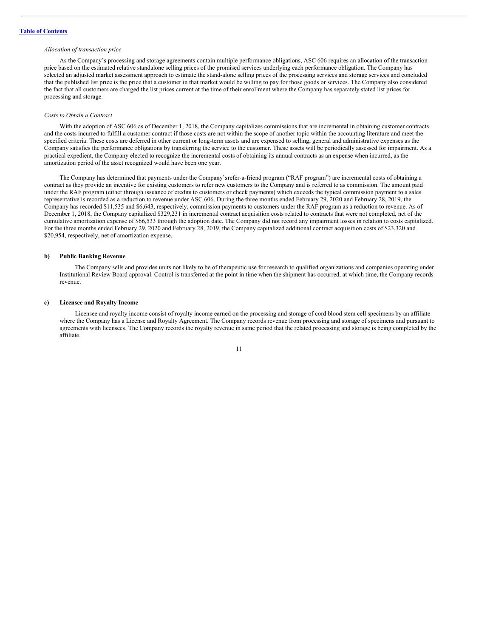## *Allocation of transaction price*

As the Company's processing and storage agreements contain multiple performance obligations, ASC 606 requires an allocation of the transaction price based on the estimated relative standalone selling prices of the promised services underlying each performance obligation. The Company has selected an adjusted market assessment approach to estimate the stand-alone selling prices of the processing services and storage services and concluded that the published list price is the price that a customer in that market would be willing to pay for those goods or services. The Company also considered the fact that all customers are charged the list prices current at the time of their enrollment where the Company has separately stated list prices for processing and storage.

## *Costs to Obtain a Contract*

With the adoption of ASC 606 as of December 1, 2018, the Company capitalizes commissions that are incremental in obtaining customer contracts and the costs incurred to fulfill a customer contract if those costs are not within the scope of another topic within the accounting literature and meet the specified criteria. These costs are deferred in other current or long-term assets and are expensed to selling, general and administrative expenses as the Company satisfies the performance obligations by transferring the service to the customer. These assets will be periodically assessed for impairment. As a practical expedient, the Company elected to recognize the incremental costs of obtaining its annual contracts as an expense when incurred, as the amortization period of the asset recognized would have been one year.

The Company has determined that payments under the Company'srefer-a-friend program ("RAF program") are incremental costs of obtaining a contract as they provide an incentive for existing customers to refer new customers to the Company and is referred to as commission. The amount paid under the RAF program (either through issuance of credits to customers or check payments) which exceeds the typical commission payment to a sales representative is recorded as a reduction to revenue under ASC 606. During the three months ended February 29, 2020 and February 28, 2019, the Company has recorded \$11,535 and \$6,643, respectively, commission payments to customers under the RAF program as a reduction to revenue. As of December 1, 2018, the Company capitalized \$329,231 in incremental contract acquisition costs related to contracts that were not completed, net of the cumulative amortization expense of \$66,533 through the adoption date. The Company did not record any impairment losses in relation to costs capitalized. For the three months ended February 29, 2020 and February 28, 2019, the Company capitalized additional contract acquisition costs of \$23,320 and \$20,954, respectively, net of amortization expense.

## **b) Public Banking Revenue**

The Company sells and provides units not likely to be of therapeutic use for research to qualified organizations and companies operating under Institutional Review Board approval. Control is transferred at the point in time when the shipment has occurred, at which time, the Company records revenue.

#### **c) Licensee and Royalty Income**

Licensee and royalty income consist of royalty income earned on the processing and storage of cord blood stem cell specimens by an affiliate where the Company has a License and Royalty Agreement. The Company records revenue from processing and storage of specimens and pursuant to agreements with licensees. The Company records the royalty revenue in same period that the related processing and storage is being completed by the affiliate.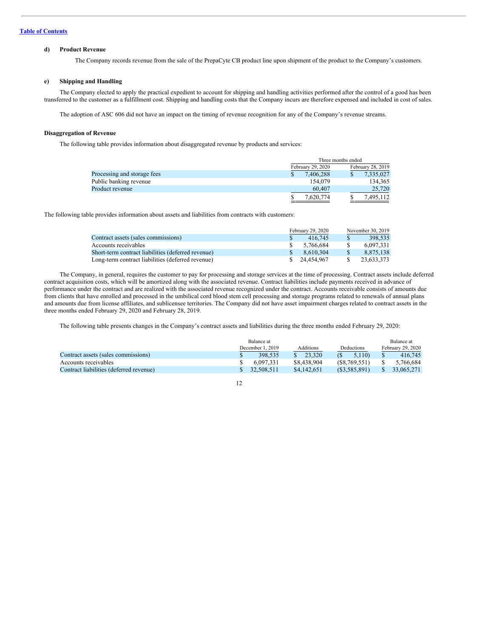## **d) Product Revenue**

The Company records revenue from the sale of the PrepaCyte CB product line upon shipment of the product to the Company's customers.

## **e) Shipping and Handling**

The Company elected to apply the practical expedient to account for shipping and handling activities performed after the control of a good has been transferred to the customer as a fulfillment cost. Shipping and handling costs that the Company incurs are therefore expensed and included in cost of sales.

The adoption of ASC 606 did not have an impact on the timing of revenue recognition for any of the Company's revenue streams.

### **Disaggregation of Revenue**

The following table provides information about disaggregated revenue by products and services:

|                             |                   | Three months ended |  |  |  |
|-----------------------------|-------------------|--------------------|--|--|--|
|                             | February 29, 2020 | February 28, 2019  |  |  |  |
| Processing and storage fees | 7.406.288<br>S    | 7,335,027          |  |  |  |
| Public banking revenue      | 154,079           | 134,365            |  |  |  |
| Product revenue             | 60,407            | 25,720             |  |  |  |
|                             | 7.620.774         | 7.495.112          |  |  |  |

The following table provides information about assets and liabilities from contracts with customers:

|                                                    | February 29, 2020 |            | November 30, 2019 |
|----------------------------------------------------|-------------------|------------|-------------------|
| Contract assets (sales commissions)                |                   | 416.745    | 398.535           |
| Accounts receivables                               |                   | 5.766.684  | 6.097.331         |
| Short-term contract liabilities (deferred revenue) |                   | 8.610.304  | 8.875.138         |
| Long-term contract liabilities (deferred revenue)  | S.                | 24.454.967 | 23.633.373        |

The Company, in general, requires the customer to pay for processing and storage services at the time of processing. Contract assets include deferred contract acquisition costs, which will be amortized along with the associated revenue. Contract liabilities include payments received in advance of performance under the contract and are realized with the associated revenue recognized under the contract. Accounts receivable consists of amounts due from clients that have enrolled and processed in the umbilical cord blood stem cell processing and storage programs related to renewals of annual plans and amounts due from license affiliates, and sublicensee territories. The Company did not have asset impairment charges related to contract assets in the three months ended February 29, 2020 and February 28, 2019.

The following table presents changes in the Company's contract assets and liabilities during the three months ended February 29, 2020:

|                                         | Balance at       |             |              | Balance at        |
|-----------------------------------------|------------------|-------------|--------------|-------------------|
|                                         | December 1, 2019 | Additions   | Deductions   | February 29, 2020 |
| Contract assets (sales commissions)     | 398.535          | 23.320      | 5.110)       | 416,745           |
| Accounts receivables                    | 6.097.331        | \$8.438.904 | (S8.769.551) | 5.766.684         |
| Contract liabilities (deferred revenue) | 32.508.511       | \$4,142,651 | (S3.585.891) | 33,065,271        |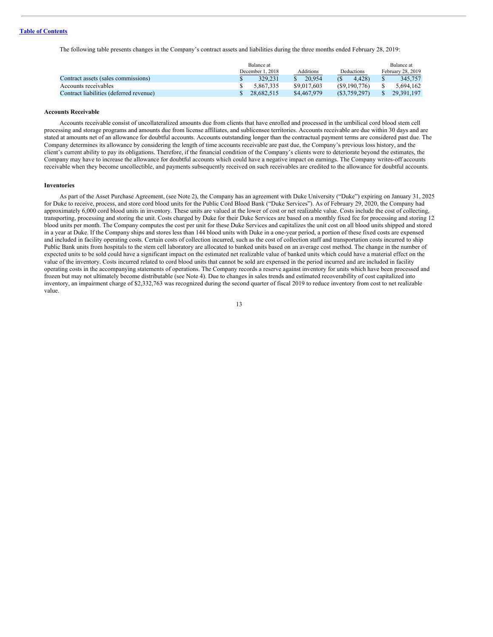The following table presents changes in the Company's contract assets and liabilities during the three months ended February 28, 2019:

|                                         | Balance at<br>December 1, 2018 | Additions   | Deductions   | Balance at<br>February 28, 2019 |
|-----------------------------------------|--------------------------------|-------------|--------------|---------------------------------|
| Contract assets (sales commissions)     | 329.231                        | 20.954      | 4.428)       | 345,757                         |
| Accounts receivables                    | 5.867.335                      | \$9,017,603 | (S9.190.776) | 5.694.162                       |
| Contract liabilities (deferred revenue) | 28,682,515                     | \$4,467,979 | (S3.759.297) | 29.391.197                      |

#### **Accounts Receivable**

Accounts receivable consist of uncollateralized amounts due from clients that have enrolled and processed in the umbilical cord blood stem cell processing and storage programs and amounts due from license affiliates, and sublicensee territories. Accounts receivable are due within 30 days and are stated at amounts net of an allowance for doubtful accounts. Accounts outstanding longer than the contractual payment terms are considered past due. The Company determines its allowance by considering the length of time accounts receivable are past due, the Company's previous loss history, and the client's current ability to pay its obligations. Therefore, if the financial condition of the Company's clients were to deteriorate beyond the estimates, the Company may have to increase the allowance for doubtful accounts which could have a negative impact on earnings. The Company writes-off accounts receivable when they become uncollectible, and payments subsequently received on such receivables are credited to the allowance for doubtful accounts.

## **Inventories**

As part of the Asset Purchase Agreement, (see Note 2), the Company has an agreement with Duke University ("Duke") expiring on January 31, 2025 for Duke to receive, process, and store cord blood units for the Public Cord Blood Bank ("Duke Services"). As of February 29, 2020, the Company had approximately 6,000 cord blood units in inventory. These units are valued at the lower of cost or net realizable value. Costs include the cost of collecting, transporting, processing and storing the unit. Costs charged by Duke for their Duke Services are based on a monthly fixed fee for processing and storing 12 blood units per month. The Company computes the cost per unit for these Duke Services and capitalizes the unit cost on all blood units shipped and stored in a year at Duke. If the Company ships and stores less than 144 blood units with Duke in a one-year period, a portion of these fixed costs are expensed and included in facility operating costs. Certain costs of collection incurred, such as the cost of collection staff and transportation costs incurred to ship Public Bank units from hospitals to the stem cell laboratory are allocated to banked units based on an average cost method. The change in the number of expected units to be sold could have a significant impact on the estimated net realizable value of banked units which could have a material effect on the value of the inventory. Costs incurred related to cord blood units that cannot be sold are expensed in the period incurred and are included in facility operating costs in the accompanying statements of operations. The Company records a reserve against inventory for units which have been processed and frozen but may not ultimately become distributable (see Note 4). Due to changes in sales trends and estimated recoverability of cost capitalized into inventory, an impairment charge of \$2,332,763 was recognized during the second quarter of fiscal 2019 to reduce inventory from cost to net realizable value.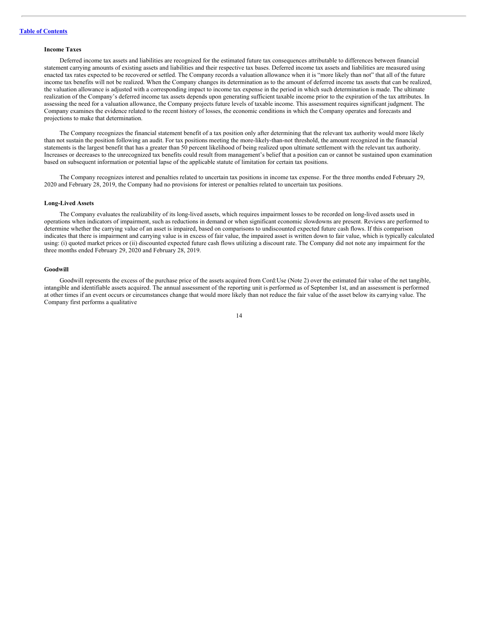#### **Income Taxes**

Deferred income tax assets and liabilities are recognized for the estimated future tax consequences attributable to differences between financial statement carrying amounts of existing assets and liabilities and their respective tax bases. Deferred income tax assets and liabilities are measured using enacted tax rates expected to be recovered or settled. The Company records a valuation allowance when it is "more likely than not" that all of the future income tax benefits will not be realized. When the Company changes its determination as to the amount of deferred income tax assets that can be realized, the valuation allowance is adjusted with a corresponding impact to income tax expense in the period in which such determination is made. The ultimate realization of the Company's deferred income tax assets depends upon generating sufficient taxable income prior to the expiration of the tax attributes. In assessing the need for a valuation allowance, the Company projects future levels of taxable income. This assessment requires significant judgment. The Company examines the evidence related to the recent history of losses, the economic conditions in which the Company operates and forecasts and projections to make that determination.

The Company recognizes the financial statement benefit of a tax position only after determining that the relevant tax authority would more likely than not sustain the position following an audit. For tax positions meeting the more-likely-than-not threshold, the amount recognized in the financial statements is the largest benefit that has a greater than 50 percent likelihood of being realized upon ultimate settlement with the relevant tax authority. Increases or decreases to the unrecognized tax benefits could result from management's belief that a position can or cannot be sustained upon examination based on subsequent information or potential lapse of the applicable statute of limitation for certain tax positions.

The Company recognizes interest and penalties related to uncertain tax positions in income tax expense. For the three months ended February 29, 2020 and February 28, 2019, the Company had no provisions for interest or penalties related to uncertain tax positions.

#### **Long-Lived Assets**

The Company evaluates the realizability of its long-lived assets, which requires impairment losses to be recorded on long-lived assets used in operations when indicators of impairment, such as reductions in demand or when significant economic slowdowns are present. Reviews are performed to determine whether the carrying value of an asset is impaired, based on comparisons to undiscounted expected future cash flows. If this comparison indicates that there is impairment and carrying value is in excess of fair value, the impaired asset is written down to fair value, which is typically calculated using: (i) quoted market prices or (ii) discounted expected future cash flows utilizing a discount rate. The Company did not note any impairment for the three months ended February 29, 2020 and February 28, 2019.

#### **Goodwill**

Goodwill represents the excess of the purchase price of the assets acquired from Cord:Use (Note 2) over the estimated fair value of the net tangible, intangible and identifiable assets acquired. The annual assessment of the reporting unit is performed as of September 1st, and an assessment is performed at other times if an event occurs or circumstances change that would more likely than not reduce the fair value of the asset below its carrying value. The Company first performs a qualitative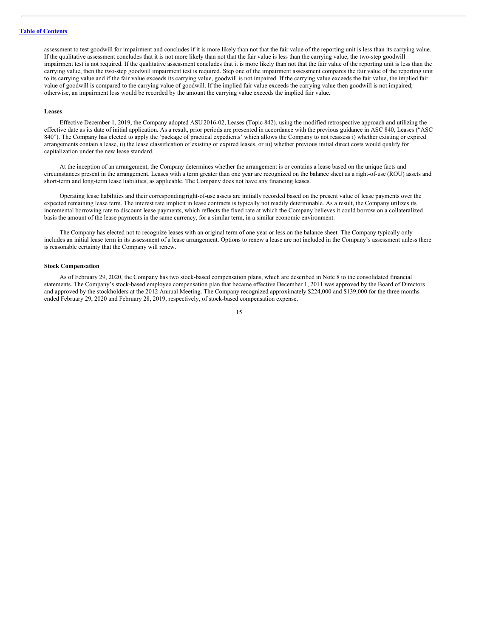assessment to test goodwill for impairment and concludes if it is more likely than not that the fair value of the reporting unit is less than its carrying value. If the qualitative assessment concludes that it is not more likely than not that the fair value is less than the carrying value, the two-step goodwill impairment test is not required. If the qualitative assessment concludes that it is more likely than not that the fair value of the reporting unit is less than the carrying value, then the two-step goodwill impairment test is required. Step one of the impairment assessment compares the fair value of the reporting unit to its carrying value and if the fair value exceeds its carrying value, goodwill is not impaired. If the carrying value exceeds the fair value, the implied fair value of goodwill is compared to the carrying value of goodwill. If the implied fair value exceeds the carrying value then goodwill is not impaired; otherwise, an impairment loss would be recorded by the amount the carrying value exceeds the implied fair value.

#### **Leases**

Effective December 1, 2019, the Company adopted ASU2016-02, Leases (Topic 842), using the modified retrospective approach and utilizing the effective date as its date of initial application. As a result, prior periods are presented in accordance with the previous guidance in ASC 840, Leases ("ASC 840"). The Company has elected to apply the 'package of practical expedients' which allows the Company to not reassess i) whether existing or expired arrangements contain a lease, ii) the lease classification of existing or expired leases, or iii) whether previous initial direct costs would qualify for capitalization under the new lease standard.

At the inception of an arrangement, the Company determines whether the arrangement is or contains a lease based on the unique facts and circumstances present in the arrangement. Leases with a term greater than one year are recognized on the balance sheet as a right-of-use (ROU) assets and short-term and long-term lease liabilities, as applicable. The Company does not have any financing leases.

Operating lease liabilities and their corresponding right-of-use assets are initially recorded based on the present value of lease payments over the expected remaining lease term. The interest rate implicit in lease contracts is typically not readily determinable. As a result, the Company utilizes its incremental borrowing rate to discount lease payments, which reflects the fixed rate at which the Company believes it could borrow on a collateralized basis the amount of the lease payments in the same currency, for a similar term, in a similar economic environment.

The Company has elected not to recognize leases with an original term of one year or less on the balance sheet. The Company typically only includes an initial lease term in its assessment of a lease arrangement. Options to renew a lease are not included in the Company's assessment unless there is reasonable certainty that the Company will renew.

## **Stock Compensation**

As of February 29, 2020, the Company has two stock-based compensation plans, which are described in Note 8 to the consolidated financial statements. The Company's stock-based employee compensation plan that became effective December 1, 2011 was approved by the Board of Directors and approved by the stockholders at the 2012 Annual Meeting. The Company recognized approximately \$224,000 and \$139,000 for the three months ended February 29, 2020 and February 28, 2019, respectively, of stock-based compensation expense.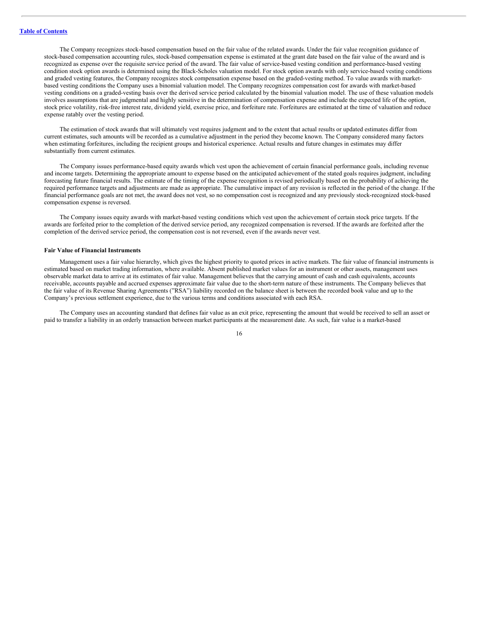The Company recognizes stock-based compensation based on the fair value of the related awards. Under the fair value recognition guidance of stock-based compensation accounting rules, stock-based compensation expense is estimated at the grant date based on the fair value of the award and is recognized as expense over the requisite service period of the award. The fair value of service-based vesting condition and performance-based vesting condition stock option awards is determined using the Black-Scholes valuation model. For stock option awards with only service-based vesting conditions and graded vesting features, the Company recognizes stock compensation expense based on the graded-vesting method. To value awards with marketbased vesting conditions the Company uses a binomial valuation model. The Company recognizes compensation cost for awards with market-based vesting conditions on a graded-vesting basis over the derived service period calculated by the binomial valuation model. The use of these valuation models involves assumptions that are judgmental and highly sensitive in the determination of compensation expense and include the expected life of the option, stock price volatility, risk-free interest rate, dividend yield, exercise price, and forfeiture rate. Forfeitures are estimated at the time of valuation and reduce expense ratably over the vesting period.

The estimation of stock awards that will ultimately vest requires judgment and to the extent that actual results or updated estimates differ from current estimates, such amounts will be recorded as a cumulative adjustment in the period they become known. The Company considered many factors when estimating forfeitures, including the recipient groups and historical experience. Actual results and future changes in estimates may differ substantially from current estimates.

The Company issues performance-based equity awards which vest upon the achievement of certain financial performance goals, including revenue and income targets. Determining the appropriate amount to expense based on the anticipated achievement of the stated goals requires judgment, including forecasting future financial results. The estimate of the timing of the expense recognition is revised periodically based on the probability of achieving the required performance targets and adjustments are made as appropriate. The cumulative impact of any revision is reflected in the period of the change. If the financial performance goals are not met, the award does not vest, so no compensation cost is recognized and any previously stock-recognized stock-based compensation expense is reversed.

The Company issues equity awards with market-based vesting conditions which vest upon the achievement of certain stock price targets. If the awards are forfeited prior to the completion of the derived service period, any recognized compensation is reversed. If the awards are forfeited after the completion of the derived service period, the compensation cost is not reversed, even if the awards never vest.

## **Fair Value of Financial Instruments**

Management uses a fair value hierarchy, which gives the highest priority to quoted prices in active markets. The fair value of financial instruments is estimated based on market trading information, where available. Absent published market values for an instrument or other assets, management uses observable market data to arrive at its estimates of fair value. Management believes that the carrying amount of cash and cash equivalents, accounts receivable, accounts payable and accrued expenses approximate fair value due to the short-term nature of these instruments. The Company believes that the fair value of its Revenue Sharing Agreements ("RSA") liability recorded on the balance sheet is between the recorded book value and up to the Company's previous settlement experience, due to the various terms and conditions associated with each RSA.

The Company uses an accounting standard that defines fair value as an exit price, representing the amount that would be received to sell an asset or paid to transfer a liability in an orderly transaction between market participants at the measurement date. As such, fair value is a market-based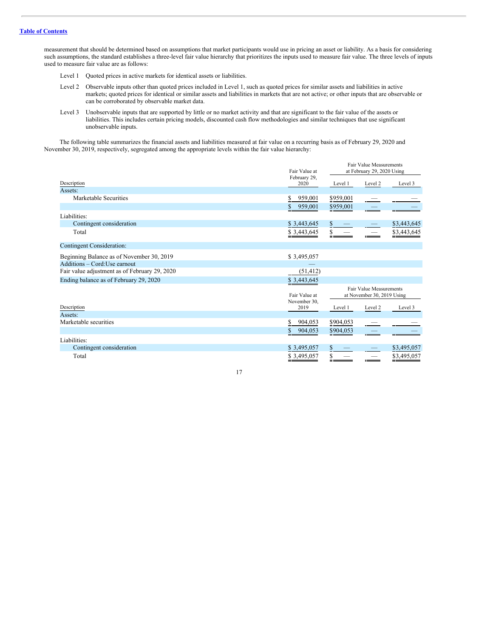measurement that should be determined based on assumptions that market participants would use in pricing an asset or liability. As a basis for considering such assumptions, the standard establishes a three-level fair value hierarchy that prioritizes the inputs used to measure fair value. The three levels of inputs used to measure fair value are as follows:

- Level 1 Quoted prices in active markets for identical assets or liabilities.
- Level 2 Observable inputs other than quoted prices included in Level 1, such as quoted prices for similar assets and liabilities in active markets; quoted prices for identical or similar assets and liabilities in markets that are not active; or other inputs that are observable or can be corroborated by observable market data.
- Level 3 Unobservable inputs that are supported by little or no market activity and that are significant to the fair value of the assets or liabilities. This includes certain pricing models, discounted cash flow methodologies and similar techniques that use significant unobservable inputs.

The following table summarizes the financial assets and liabilities measured at fair value on a recurring basis as of February 29, 2020 and November 30, 2019, respectively, segregated among the appropriate levels within the fair value hierarchy:

|                                               | Fair Value at                 | Fair Value Measurements<br>at February 29, 2020 Using |                                                       |             |
|-----------------------------------------------|-------------------------------|-------------------------------------------------------|-------------------------------------------------------|-------------|
| Description                                   | February 29,<br>2020          | Level 1                                               | Level 2                                               | Level 3     |
| Assets:                                       |                               |                                                       |                                                       |             |
| Marketable Securities                         | 959,001<br>\$                 | \$959,001                                             |                                                       |             |
|                                               | \$<br>959,001                 | \$959,001                                             |                                                       |             |
| Liabilities:                                  |                               |                                                       |                                                       |             |
| Contingent consideration                      | \$3,443,645                   | \$                                                    |                                                       | \$3,443,645 |
| Total                                         | \$3,443,645                   | \$                                                    |                                                       | \$3,443,645 |
| <b>Contingent Consideration:</b>              |                               |                                                       |                                                       |             |
| Beginning Balance as of November 30, 2019     | \$3,495,057                   |                                                       |                                                       |             |
| Additions – Cord: Use earnout                 |                               |                                                       |                                                       |             |
| Fair value adjustment as of February 29, 2020 | (51, 412)                     |                                                       |                                                       |             |
| Ending balance as of February 29, 2020        | \$3,443,645                   |                                                       |                                                       |             |
|                                               | Fair Value at<br>November 30, |                                                       | Fair Value Measurements<br>at November 30, 2019 Using |             |
| Description                                   | 2019                          | Level 1                                               | Level 2                                               | Level 3     |
| Assets:                                       |                               |                                                       |                                                       |             |
| Marketable securities                         | \$<br>904,053                 | \$904,053                                             |                                                       |             |
|                                               | 904,053                       | \$904,053                                             |                                                       |             |
| Liabilities:                                  |                               |                                                       |                                                       |             |
| Contingent consideration                      | \$3,495,057                   | ${\mathbb S}$                                         |                                                       | \$3,495,057 |
| Total                                         | \$3,495,057                   | \$                                                    | -                                                     | \$3,495,057 |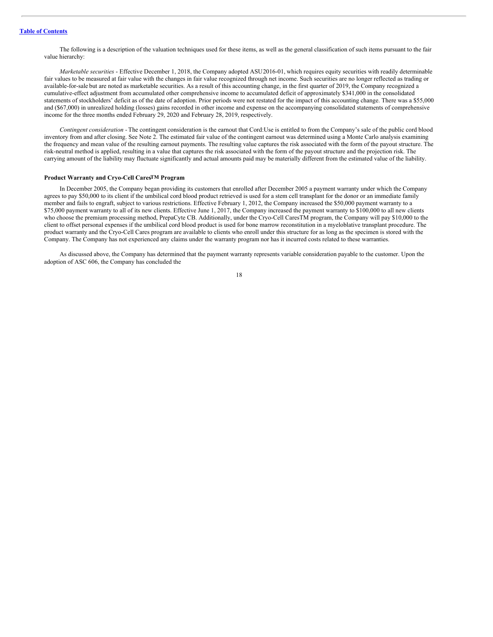The following is a description of the valuation techniques used for these items, as well as the general classification of such items pursuant to the fair value hierarchy:

*Marketable securities* - Effective December 1, 2018, the Company adopted ASU2016-01, which requires equity securities with readily determinable fair values to be measured at fair value with the changes in fair value recognized through net income. Such securities are no longer reflected as trading or available-for-sale but are noted as marketable securities. As a result of this accounting change, in the first quarter of 2019, the Company recognized a cumulative-effect adjustment from accumulated other comprehensive income to accumulated deficit of approximately \$341,000 in the consolidated statements of stockholders' deficit as of the date of adoption. Prior periods were not restated for the impact of this accounting change. There was a \$55,000 and (\$67,000) in unrealized holding (losses) gains recorded in other income and expense on the accompanying consolidated statements of comprehensive income for the three months ended February 29, 2020 and February 28, 2019, respectively.

*Contingent consideration -* The contingent consideration is the earnout that Cord:Use is entitled to from the Company's sale of the public cord blood inventory from and after closing. See Note 2. The estimated fair value of the contingent earnout was determined using a Monte Carlo analysis examining the frequency and mean value of the resulting earnout payments. The resulting value captures the risk associated with the form of the payout structure. The risk-neutral method is applied, resulting in a value that captures the risk associated with the form of the payout structure and the projection risk. The carrying amount of the liability may fluctuate significantly and actual amounts paid may be materially different from the estimated value of the liability.

## **Product Warranty and Cryo-Cell CaresTM Program**

In December 2005, the Company began providing its customers that enrolled after December 2005 a payment warranty under which the Company agrees to pay \$50,000 to its client if the umbilical cord blood product retrieved is used for a stem cell transplant for the donor or an immediate family member and fails to engraft, subject to various restrictions. Effective February 1, 2012, the Company increased the \$50,000 payment warranty to a \$75,000 payment warranty to all of its new clients. Effective June 1, 2017, the Company increased the payment warranty to \$100,000 to all new clients who choose the premium processing method, PrepaCyte CB. Additionally, under the Cryo-Cell CaresTM program, the Company will pay \$10,000 to the client to offset personal expenses if the umbilical cord blood product is used for bone marrow reconstitution in a myeloblative transplant procedure. The product warranty and the Cryo-Cell Cares program are available to clients who enroll under this structure for as long as the specimen is stored with the Company. The Company has not experienced any claims under the warranty program nor has it incurred costs related to these warranties.

As discussed above, the Company has determined that the payment warranty represents variable consideration payable to the customer. Upon the adoption of ASC 606, the Company has concluded the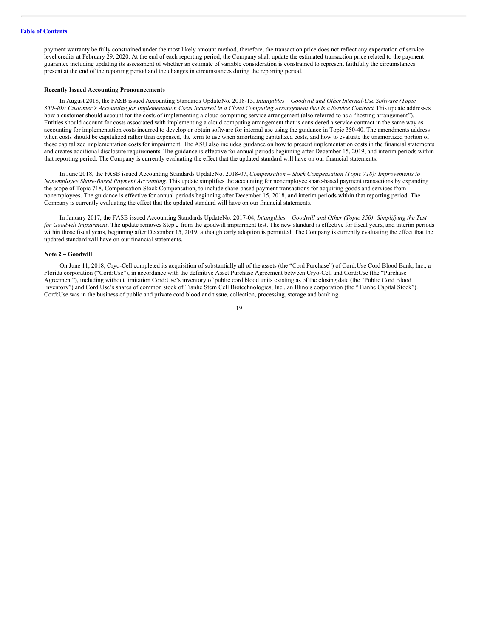payment warranty be fully constrained under the most likely amount method, therefore, the transaction price does not reflect any expectation of service level credits at February 29, 2020. At the end of each reporting period, the Company shall update the estimated transaction price related to the payment guarantee including updating its assessment of whether an estimate of variable consideration is constrained to represent faithfully the circumstances present at the end of the reporting period and the changes in circumstances during the reporting period.

## **Recently Issued Accounting Pronouncements**

In August 2018, the FASB issued Accounting Standards UpdateNo. 2018-15, *Intangibles – Goodwill and OtherInternal-Use Software (Topic* 350-40): Customer's Accounting for Implementation Costs Incurred in a Cloud Computing Arrangement that is a Service Contract. This update addresses how a customer should account for the costs of implementing a cloud computing service arrangement (also referred to as a "hosting arrangement"). Entities should account for costs associated with implementing a cloud computing arrangement that is considered a service contract in the same way as accounting for implementation costs incurred to develop or obtain software for internal use using the guidance in Topic 350-40. The amendments address when costs should be capitalized rather than expensed, the term to use when amortizing capitalized costs, and how to evaluate the unamortized portion of these capitalized implementation costs for impairment. The ASU also includes guidance on how to present implementation costs in the financial statements and creates additional disclosure requirements. The guidance is effective for annual periods beginning after December 15, 2019, and interim periods within that reporting period. The Company is currently evaluating the effect that the updated standard will have on our financial statements.

In June 2018, the FASB issued Accounting Standards UpdateNo. 2018-07, *Compensation – Stock Compensation (Topic 718): Improvements to Nonemployee Share-Based Payment Accounting.* This update simplifies the accounting for nonemployee share-based payment transactions by expanding the scope of Topic 718, Compensation-Stock Compensation, to include share-based payment transactions for acquiring goods and services from nonemployees. The guidance is effective for annual periods beginning after December 15, 2018, and interim periods within that reporting period. The Company is currently evaluating the effect that the updated standard will have on our financial statements.

In January 2017, the FASB issued Accounting Standards UpdateNo. 2017-04, *Intangibles – Goodwill and Other (Topic 350): Simplifying the Test for Goodwill Impairment*. The update removes Step 2 from the goodwill impairment test. The new standard is effective for fiscal years, and interim periods within those fiscal years, beginning after December 15, 2019, although early adoption is permitted. The Company is currently evaluating the effect that the updated standard will have on our financial statements.

#### **Note 2 – Goodwill**

On June 11, 2018, Cryo-Cell completed its acquisition of substantially all of the assets (the "Cord Purchase") of Cord:Use Cord Blood Bank, Inc., a Florida corporation ("Cord:Use"), in accordance with the definitive Asset Purchase Agreement between Cryo-Cell and Cord:Use (the "Purchase Agreement"), including without limitation Cord:Use's inventory of public cord blood units existing as of the closing date (the "Public Cord Blood Inventory") and Cord:Use's shares of common stock of Tianhe Stem Cell Biotechnologies, Inc., an Illinois corporation (the "Tianhe Capital Stock"). Cord:Use was in the business of public and private cord blood and tissue, collection, processing, storage and banking.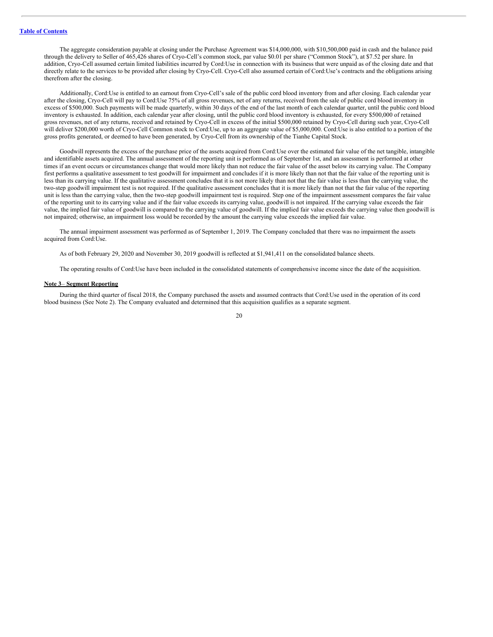The aggregate consideration payable at closing under the Purchase Agreement was \$14,000,000, with \$10,500,000 paid in cash and the balance paid through the delivery to Seller of 465,426 shares of Cryo-Cell's common stock, par value \$0.01 per share ("Common Stock"), at \$7.52 per share. In addition, Cryo-Cell assumed certain limited liabilities incurred by Cord:Use in connection with its business that were unpaid as of the closing date and that directly relate to the services to be provided after closing by Cryo-Cell. Cryo-Cell also assumed certain of Cord:Use's contracts and the obligations arising therefrom after the closing.

Additionally, Cord:Use is entitled to an earnout from Cryo-Cell's sale of the public cord blood inventory from and after closing. Each calendar year after the closing, Cryo-Cell will pay to Cord:Use 75% of all gross revenues, net of any returns, received from the sale of public cord blood inventory in excess of \$500,000. Such payments will be made quarterly, within 30 days of the end of the last month of each calendar quarter, until the public cord blood inventory is exhausted. In addition, each calendar year after closing, until the public cord blood inventory is exhausted, for every \$500,000 of retained gross revenues, net of any returns, received and retained by Cryo-Cell in excess of the initial \$500,000 retained by Cryo-Cell during such year, Cryo-Cell will deliver \$200,000 worth of Cryo-Cell Common stock to Cord:Use, up to an aggregate value of \$5,000,000. Cord:Use is also entitled to a portion of the gross profits generated, or deemed to have been generated, by Cryo-Cell from its ownership of the Tianhe Capital Stock.

Goodwill represents the excess of the purchase price of the assets acquired from Cord:Use over the estimated fair value of the net tangible, intangible and identifiable assets acquired. The annual assessment of the reporting unit is performed as of September 1st, and an assessment is performed at other times if an event occurs or circumstances change that would more likely than not reduce the fair value of the asset below its carrying value. The Company first performs a qualitative assessment to test goodwill for impairment and concludes if it is more likely than not that the fair value of the reporting unit is less than its carrying value. If the qualitative assessment concludes that it is not more likely than not that the fair value is less than the carrying value, the two-step goodwill impairment test is not required. If the qualitative assessment concludes that it is more likely than not that the fair value of the reporting unit is less than the carrying value, then the two-step goodwill impairment test is required. Step one of the impairment assessment compares the fair value of the reporting unit to its carrying value and if the fair value exceeds its carrying value, goodwill is not impaired. If the carrying value exceeds the fair value, the implied fair value of goodwill is compared to the carrying value of goodwill. If the implied fair value exceeds the carrying value then goodwill is not impaired; otherwise, an impairment loss would be recorded by the amount the carrying value exceeds the implied fair value.

The annual impairment assessment was performed as of September 1, 2019. The Company concluded that there was no impairment the assets acquired from Cord:Use.

As of both February 29, 2020 and November 30, 2019 goodwill is reflected at \$1,941,411 on the consolidated balance sheets.

The operating results of Cord:Use have been included in the consolidated statements of comprehensive income since the date of the acquisition.

#### **Note 3**– **Segment Reporting**

During the third quarter of fiscal 2018, the Company purchased the assets and assumed contracts that Cord:Use used in the operation of its cord blood business (See Note 2). The Company evaluated and determined that this acquisition qualifies as a separate segment.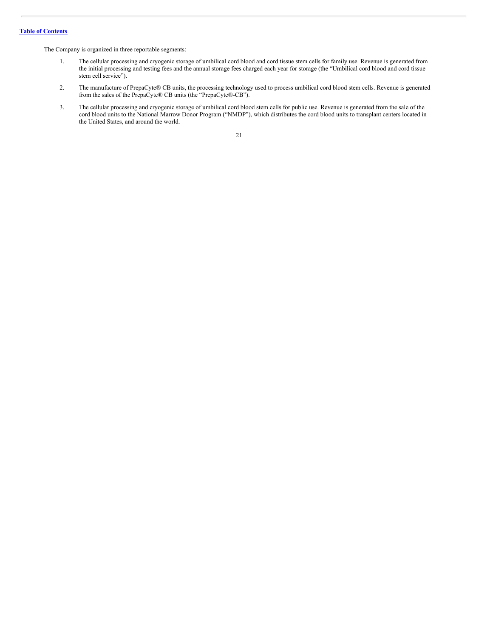The Company is organized in three reportable segments:

- 1. The cellular processing and cryogenic storage of umbilical cord blood and cord tissue stem cells for family use. Revenue is generated from the initial processing and testing fees and the annual storage fees charged each year for storage (the "Umbilical cord blood and cord tissue stem cell service").
- 2. The manufacture of PrepaCyte® CB units, the processing technology used to process umbilical cord blood stem cells. Revenue is generated from the sales of the PrepaCyte® CB units (the "PrepaCyte®-CB").
- 3. The cellular processing and cryogenic storage of umbilical cord blood stem cells for public use. Revenue is generated from the sale of the cord blood units to the National Marrow Donor Program ("NMDP"), which distributes the cord blood units to transplant centers located in the United States, and around the world.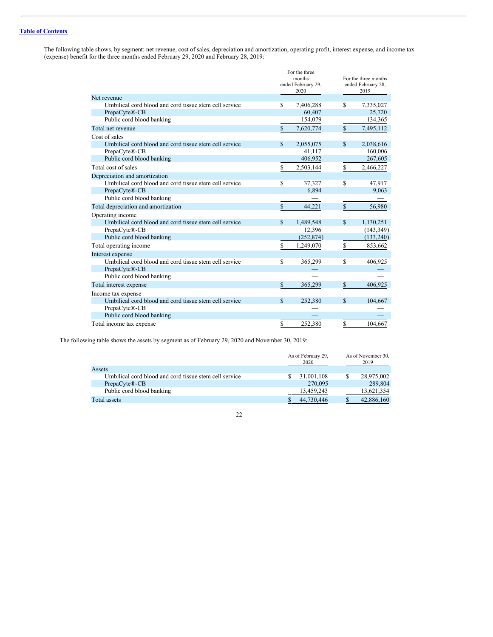The following table shows, by segment: net revenue, cost of sales, depreciation and amortization, operating profit, interest expense, and income tax (expense) benefit for the three months ended February 29, 2020 and February 28, 2019:

|                                                        | For the three<br>months<br>ended February 29,<br>2020 |                   | For the three months<br>ended February 28,<br>2019 |            |
|--------------------------------------------------------|-------------------------------------------------------|-------------------|----------------------------------------------------|------------|
| Net revenue                                            |                                                       |                   |                                                    |            |
| Umbilical cord blood and cord tissue stem cell service | \$                                                    | 7,406,288         | \$                                                 | 7,335,027  |
| PrepaCyte®-CB                                          |                                                       | 60,407            |                                                    | 25,720     |
| Public cord blood banking                              |                                                       | 154,079           |                                                    | 134,365    |
| Total net revenue                                      | \$                                                    | 7,620,774         | \$                                                 | 7,495,112  |
| Cost of sales                                          |                                                       |                   |                                                    |            |
| Umbilical cord blood and cord tissue stem cell service | $\mathbf S$                                           | 2,055,075         | $\mathbf{s}$                                       | 2,038,616  |
| PrepaCyte®-CB                                          |                                                       | 41,117            |                                                    | 160,006    |
| Public cord blood banking                              |                                                       | 406,952           |                                                    | 267,605    |
| Total cost of sales                                    | \$                                                    | 2,503,144         | \$                                                 | 2,466,227  |
| Depreciation and amortization                          |                                                       |                   |                                                    |            |
| Umbilical cord blood and cord tissue stem cell service | \$                                                    | 37,327            | \$                                                 | 47,917     |
| PrepaCyte®-CB                                          |                                                       | 6,894             |                                                    | 9,063      |
| Public cord blood banking                              |                                                       | $\qquad \qquad -$ |                                                    |            |
| Total depreciation and amortization                    | \$                                                    | 44,221            | \$                                                 | 56,980     |
| Operating income                                       |                                                       |                   |                                                    |            |
| Umbilical cord blood and cord tissue stem cell service | $\mathbf S$                                           | 1,489,548         | \$                                                 | 1,130,251  |
| PrepaCyte®-CB                                          |                                                       | 12,396            |                                                    | (143, 349) |
| Public cord blood banking                              |                                                       | (252, 874)        |                                                    | (133, 240) |
| Total operating income                                 | \$                                                    | 1,249,070         | \$                                                 | 853,662    |
| Interest expense                                       |                                                       |                   |                                                    |            |
| Umbilical cord blood and cord tissue stem cell service | \$                                                    | 365,299           | \$                                                 | 406,925    |
| PrepaCyte®-CB                                          |                                                       |                   |                                                    |            |
| Public cord blood banking                              |                                                       |                   |                                                    |            |
| Total interest expense                                 | \$                                                    | 365,299           | \$                                                 | 406,925    |
| Income tax expense                                     |                                                       |                   |                                                    |            |
| Umbilical cord blood and cord tissue stem cell service | $\mathbf{s}$                                          | 252,380           | \$                                                 | 104,667    |
| PrepaCyte®-CB                                          |                                                       |                   |                                                    |            |
| Public cord blood banking                              |                                                       |                   |                                                    |            |
| Total income tax expense                               | \$                                                    | 252.380           | \$                                                 | 104,667    |

The following table shows the assets by segment as of February 29, 2020 and November 30, 2019:

|                                                        | As of February 29,<br>2020 | As of November 30,<br>2019 |
|--------------------------------------------------------|----------------------------|----------------------------|
| Assets                                                 |                            |                            |
| Umbilical cord blood and cord tissue stem cell service | 31,001,108                 | 28,975,002                 |
| PrepaCyte®-CB                                          | 270,095                    | 289,804                    |
| Public cord blood banking                              | 13.459.243                 | 13,621,354                 |
| Total assets                                           | 44.730.446                 | 42,886,160                 |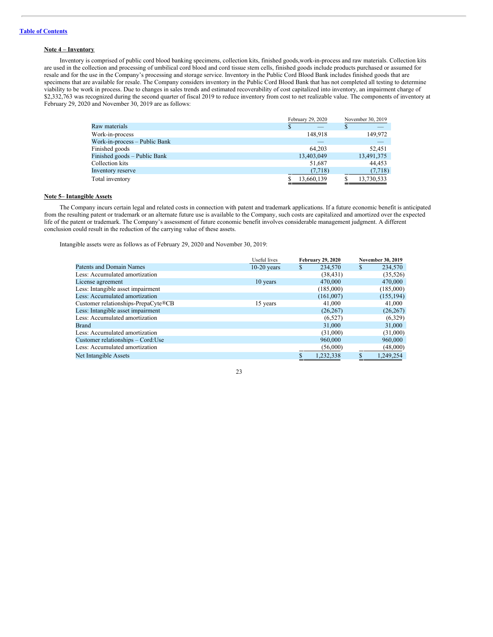## **Note 4 – Inventory**

Inventory is comprised of public cord blood banking specimens, collection kits, finished goods,work-in-process and raw materials. Collection kits are used in the collection and processing of umbilical cord blood and cord tissue stem cells, finished goods include products purchased or assumed for resale and for the use in the Company's processing and storage service. Inventory in the Public Cord Blood Bank includes finished goods that are specimens that are available for resale. The Company considers inventory in the Public Cord Blood Bank that has not completed all testing to determine viability to be work in process. Due to changes in sales trends and estimated recoverability of cost capitalized into inventory, an impairment charge of \$2,332,763 was recognized during the second quarter of fiscal 2019 to reduce inventory from cost to net realizable value. The components of inventory at February 29, 2020 and November 30, 2019 are as follows:

|                               | February 29, 2020 | November 30, 2019 |
|-------------------------------|-------------------|-------------------|
| Raw materials                 | \$                | \$                |
| Work-in-process               | 148,918           | 149,972           |
| Work-in-process - Public Bank | __                |                   |
| Finished goods                | 64.203            | 52.451            |
| Finished goods – Public Bank  | 13,403,049        | 13,491,375        |
| Collection kits               | 51,687            | 44.453            |
| Inventory reserve             | (7,718)           | (7,718)           |
| Total inventory               | 13,660,139        | 13,730,533        |

#### **Note 5– Intangible Assets**

The Company incurs certain legal and related costs in connection with patent and trademark applications. If a future economic benefit is anticipated from the resulting patent or trademark or an alternate future use is available to the Company, such costs are capitalized and amortized over the expected life of the patent or trademark. The Company's assessment of future economic benefit involves considerable management judgment. A different conclusion could result in the reduction of the carrying value of these assets.

Intangible assets were as follows as of February 29, 2020 and November 30, 2019:

|                                     | Useful lives  |   | <b>February 29, 2020</b> | November 30, 2019 |
|-------------------------------------|---------------|---|--------------------------|-------------------|
| Patents and Domain Names            | $10-20$ years | S | 234,570                  | \$<br>234,570     |
| Less: Accumulated amortization      |               |   | (38, 431)                | (35,526)          |
| License agreement                   | 10 years      |   | 470,000                  | 470,000           |
| Less: Intangible asset impairment   |               |   | (185,000)                | (185,000)         |
| Less: Accumulated amortization      |               |   | (161,007)                | (155, 194)        |
| Customer relationships-PrepaCyte®CB | 15 years      |   | 41,000                   | 41,000            |
| Less: Intangible asset impairment   |               |   | (26, 267)                | (26, 267)         |
| Less: Accumulated amortization      |               |   | (6, 527)                 | (6,329)           |
| <b>Brand</b>                        |               |   | 31,000                   | 31,000            |
| Less: Accumulated amortization      |               |   | (31,000)                 | (31,000)          |
| Customer relationships - Cord: Use  |               |   | 960,000                  | 960,000           |
| Less: Accumulated amortization      |               |   | (56,000)                 | (48,000)          |
| Net Intangible Assets               |               |   | 1.232.338                | 1.249.254         |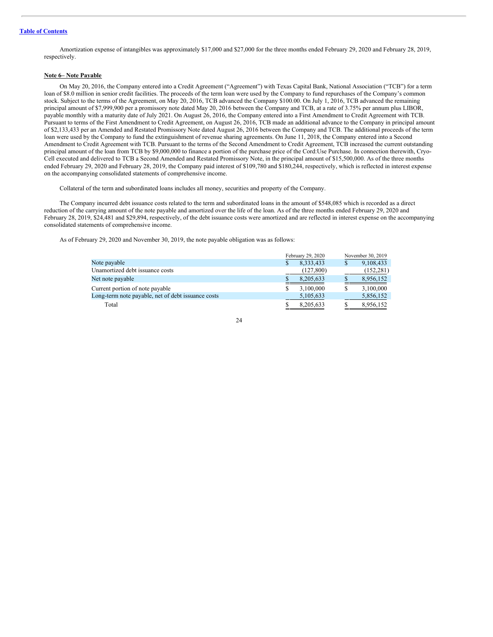## **Table of [Contents](#page-1-0)**

Amortization expense of intangibles was approximately \$17,000 and \$27,000 for the three months ended February 29, 2020 and February 28, 2019, respectively.

## **Note 6– Note Payable**

On May 20, 2016, the Company entered into a Credit Agreement ("Agreement") with Texas Capital Bank, National Association ("TCB") for a term loan of \$8.0 million in senior credit facilities. The proceeds of the term loan were used by the Company to fund repurchases of the Company's common stock. Subject to the terms of the Agreement, on May 20, 2016, TCB advanced the Company \$100.00. On July 1, 2016, TCB advanced the remaining principal amount of \$7,999,900 per a promissory note dated May 20, 2016 between the Company and TCB, at a rate of 3.75% per annum plus LIBOR, payable monthly with a maturity date of July 2021. On August 26, 2016, the Company entered into a First Amendment to Credit Agreement with TCB. Pursuant to terms of the First Amendment to Credit Agreement, on August 26, 2016, TCB made an additional advance to the Company in principal amount of \$2,133,433 per an Amended and Restated Promissory Note dated August 26, 2016 between the Company and TCB. The additional proceeds of the term loan were used by the Company to fund the extinguishment of revenue sharing agreements. On June 11, 2018, the Company entered into a Second Amendment to Credit Agreement with TCB. Pursuant to the terms of the Second Amendment to Credit Agreement, TCB increased the current outstanding principal amount of the loan from TCB by \$9,000,000 to finance a portion of the purchase price of the Cord:Use Purchase. In connection therewith, Cryo-Cell executed and delivered to TCB a Second Amended and Restated Promissory Note, in the principal amount of \$15,500,000. As of the three months ended February 29, 2020 and February 28, 2019, the Company paid interest of \$109,780 and \$180,244, respectively, which is reflected in interest expense on the accompanying consolidated statements of comprehensive income.

Collateral of the term and subordinated loans includes all money, securities and property of the Company.

The Company incurred debt issuance costs related to the term and subordinated loans in the amount of \$548,085 which is recorded as a direct reduction of the carrying amount of the note payable and amortized over the life of the loan. As of the three months ended February 29, 2020 and February 28, 2019, \$24,481 and \$29,894, respectively, of the debt issuance costs were amortized and are reflected in interest expense on the accompanying consolidated statements of comprehensive income.

As of February 29, 2020 and November 30, 2019, the note payable obligation was as follows:

|                                                    | February 29, 2020 | November 30, 2019 |
|----------------------------------------------------|-------------------|-------------------|
| Note payable                                       | 8, 333, 433       | 9,108,433         |
| Unamortized debt issuance costs                    | (127,800)         | (152, 281)        |
| Net note payable                                   | 8,205,633         | 8,956,152         |
| Current portion of note payable                    | 3,100,000         | 3,100,000<br>S    |
| Long-term note payable, net of debt issuance costs | 5,105,633         | 5,856,152         |
| Total                                              | 8,205,633         | 8,956,152         |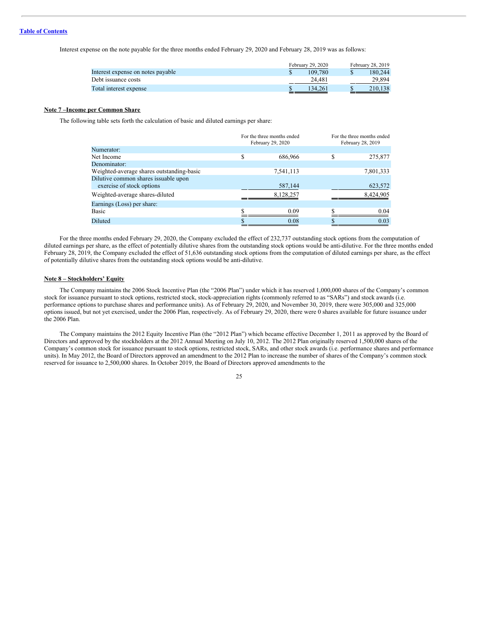Interest expense on the note payable for the three months ended February 29, 2020 and February 28, 2019 was as follows:

|                                   | February 29, 2020 | February 28, 2019 |
|-----------------------------------|-------------------|-------------------|
| Interest expense on notes payable | 109.780           | 180,244           |
| Debt issuance costs               | 24.481            | 29.894            |
| Total interest expense            | 134.261           | 210.138           |

## **Note 7 –Income per Common Share**

The following table sets forth the calculation of basic and diluted earnings per share:

|                                           |   | For the three months ended<br>February 29, 2020 |    | For the three months ended<br>February 28, 2019 |
|-------------------------------------------|---|-------------------------------------------------|----|-------------------------------------------------|
| Numerator:                                |   |                                                 |    |                                                 |
| Net Income                                | S | 686,966                                         | S  | 275,877                                         |
| Denominator:                              |   |                                                 |    |                                                 |
| Weighted-average shares outstanding-basic |   | 7,541,113                                       |    | 7,801,333                                       |
| Dilutive common shares issuable upon      |   |                                                 |    |                                                 |
| exercise of stock options                 |   | 587,144                                         |    | 623,572                                         |
| Weighted-average shares-diluted           |   | 8,128,257                                       |    | 8,424,905                                       |
| Earnings (Loss) per share:                |   |                                                 |    |                                                 |
| Basic                                     | ¢ | 0.09                                            | \$ | 0.04                                            |
| Diluted                                   |   | 0.08                                            |    | 0.03                                            |

For the three months ended February 29, 2020, the Company excluded the effect of 232,737 outstanding stock options from the computation of diluted earnings per share, as the effect of potentially dilutive shares from the outstanding stock options would be anti-dilutive. For the three months ended February 28, 2019, the Company excluded the effect of 51,636 outstanding stock options from the computation of diluted earnings per share, as the effect of potentially dilutive shares from the outstanding stock options would be anti-dilutive.

## **Note 8 – Stockholders' Equity**

The Company maintains the 2006 Stock Incentive Plan (the "2006 Plan") under which it has reserved 1,000,000 shares of the Company's common stock for issuance pursuant to stock options, restricted stock, stock-appreciation rights (commonly referred to as "SARs") and stock awards (i.e. performance options to purchase shares and performance units). As of February 29, 2020, and November 30, 2019, there were 305,000 and 325,000 options issued, but not yet exercised, under the 2006 Plan, respectively. As of February 29, 2020, there were 0 shares available for future issuance under the 2006 Plan.

The Company maintains the 2012 Equity Incentive Plan (the "2012 Plan") which became effective December 1, 2011 as approved by the Board of Directors and approved by the stockholders at the 2012 Annual Meeting on July 10, 2012. The 2012 Plan originally reserved 1,500,000 shares of the Company's common stock for issuance pursuant to stock options, restricted stock, SARs, and other stock awards (i.e. performance shares and performance units). In May 2012, the Board of Directors approved an amendment to the 2012 Plan to increase the number of shares of the Company's common stock reserved for issuance to 2,500,000 shares. In October 2019, the Board of Directors approved amendments to the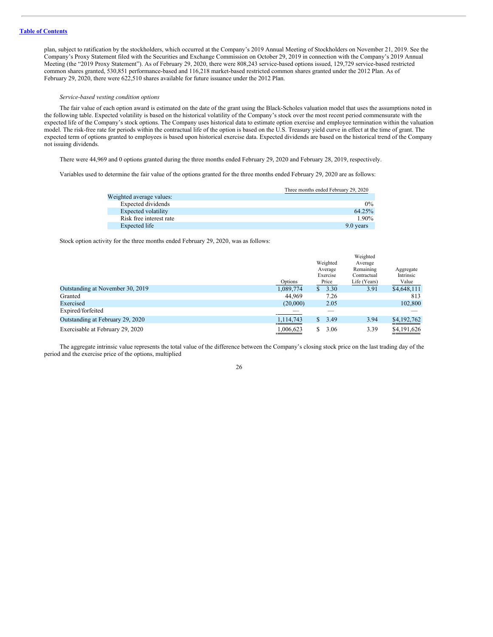plan, subject to ratification by the stockholders, which occurred at the Company's 2019 Annual Meeting of Stockholders on November 21, 2019. See the Company's Proxy Statement filed with the Securities and Exchange Commission on October 29, 2019 in connection with the Company's 2019 Annual Meeting (the "2019 Proxy Statement"). As of February 29, 2020, there were 808,243 service-based options issued, 129,729 service-based restricted common shares granted, 530,851 performance-based and 116,218 market-based restricted common shares granted under the 2012 Plan. As of February 29, 2020, there were 622,510 shares available for future issuance under the 2012 Plan.

#### *Service-based vesting condition options*

The fair value of each option award is estimated on the date of the grant using the Black-Scholes valuation model that uses the assumptions noted in the following table. Expected volatility is based on the historical volatility of the Company's stock over the most recent period commensurate with the expected life of the Company's stock options. The Company uses historical data to estimate option exercise and employee termination within the valuation model. The risk-free rate for periods within the contractual life of the option is based on the U.S. Treasury yield curve in effect at the time of grant. The expected term of options granted to employees is based upon historical exercise data. Expected dividends are based on the historical trend of the Company not issuing dividends.

There were 44,969 and 0 options granted during the three months ended February 29, 2020 and February 28, 2019, respectively.

Variables used to determine the fair value of the options granted for the three months ended February 29, 2020 are as follows:

|                          | Three months ended February 29, 2020 |
|--------------------------|--------------------------------------|
| Weighted average values: |                                      |
| Expected dividends       | $0\%$                                |
| Expected volatility      | 64.25%                               |
| Risk free interest rate  | $1.90\%$                             |
| Expected life            | 9.0 years                            |

Stock option activity for the three months ended February 29, 2020, was as follows:

|                                  | Options   | Weighted<br>Average<br>Exercise<br>Price | Weighted<br>Average<br>Remaining<br>Contractual<br>Life (Years) | Aggregate<br>Intrinsic<br>Value |
|----------------------------------|-----------|------------------------------------------|-----------------------------------------------------------------|---------------------------------|
| Outstanding at November 30, 2019 | 1,089,774 | 3.30<br>\$.                              | 3.91                                                            | \$4,648,111                     |
| Granted                          | 44,969    | 7.26                                     |                                                                 | 813                             |
| Exercised                        | (20,000)  | 2.05                                     |                                                                 | 102,800                         |
| Expired/forfeited                |           |                                          |                                                                 |                                 |
| Outstanding at February 29, 2020 | 1,114,743 | 3.49<br><sup>\$</sup>                    | 3.94                                                            | \$4,192,762                     |
| Exercisable at February 29, 2020 | 1,006,623 | 3.06<br>S.                               | 3.39                                                            | \$4,191,626                     |

The aggregate intrinsic value represents the total value of the difference between the Company's closing stock price on the last trading day of the period and the exercise price of the options, multiplied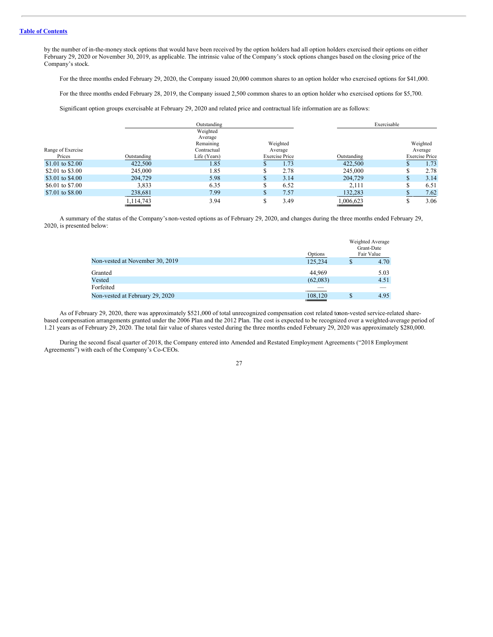by the number of in-the-money stock options that would have been received by the option holders had all option holders exercised their options on either February 29, 2020 or November 30, 2019, as applicable. The intrinsic value of the Company's stock options changes based on the closing price of the Company's stock.

For the three months ended February 29, 2020, the Company issued 20,000 common shares to an option holder who exercised options for \$41,000.

For the three months ended February 28, 2019, the Company issued 2,500 common shares to an option holder who exercised options for \$5,700.

Significant option groups exercisable at February 29, 2020 and related price and contractual life information are as follows:

|                   |             | Outstanding  |                       |      |             | Exercisable |                       |
|-------------------|-------------|--------------|-----------------------|------|-------------|-------------|-----------------------|
|                   |             | Weighted     |                       |      |             |             |                       |
|                   |             | Average      |                       |      |             |             |                       |
|                   |             | Remaining    | Weighted              |      |             |             | Weighted              |
| Range of Exercise |             | Contractual  | Average               |      |             |             | Average               |
| Prices            | Outstanding | Life (Years) | <b>Exercise Price</b> |      | Outstanding |             | <b>Exercise Price</b> |
| \$1.01 to \$2.00  | 422,500     | 1.85         |                       | 1.73 | 422,500     |             | 1.73                  |
| \$2.01 to \$3.00  | 245,000     | 1.85         |                       | 2.78 | 245,000     |             | 2.78                  |
| \$3.01 to \$4.00  | 204,729     | 5.98         | \$<br>3.14            |      | 204,729     |             | 3.14                  |
| \$6.01 to \$7.00  | 3,833       | 6.35         | \$<br>6.52            |      | 2.111       |             | 6.51                  |
| \$7.01 to \$8.00  | 238,681     | 7.99         | 7.57<br>\$            |      | 132,283     |             | 7.62                  |
|                   | 1,114,743   | 3.94         | \$<br>3.49            |      | 1,006,623   |             | 3.06                  |

A summary of the status of the Company's non-vested options as of February 29, 2020, and changes during the three months ended February 29, 2020, is presented below:

|                                 | Options  | Weighted Average<br>Grant-Date<br>Fair Value |
|---------------------------------|----------|----------------------------------------------|
| Non-vested at November 30, 2019 | 125.234  | \$<br>4.70                                   |
| Granted                         | 44.969   | 5.03                                         |
| Vested                          | (62,083) | 4.51                                         |
| Forfeited                       |          |                                              |
| Non-vested at February 29, 2020 | 108,120  | \$<br>4.95                                   |

As of February 29, 2020, there was approximately \$521,000 of total unrecognized compensation cost related tonon-vested service-related sharebased compensation arrangements granted under the 2006 Plan and the 2012 Plan. The cost is expected to be recognized over a weighted-average period of 1.21 years as of February 29, 2020. The total fair value of shares vested during the three months ended February 29, 2020 was approximately \$280,000.

During the second fiscal quarter of 2018, the Company entered into Amended and Restated Employment Agreements ("2018 Employment Agreements") with each of the Company's Co-CEOs.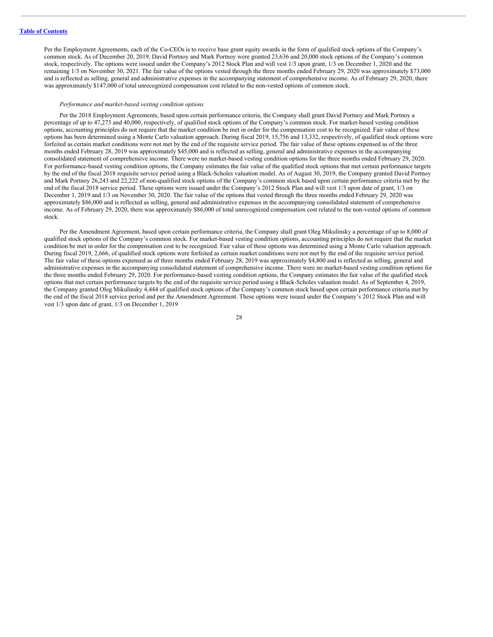Per the Employment Agreements, each of the Co-CEOs is to receive base grant equity awards in the form of qualified stock options of the Company's common stock. As of December 20, 2019, David Portnoy and Mark Portnoy were granted 23,636 and 20,000 stock options of the Company's common stock, respectively. The options were issued under the Company's 2012 Stock Plan and will vest 1/3 upon grant, 1/3 on December 1, 2020 and the remaining 1/3 on November 30, 2021. The fair value of the options vested through the three months ended February 29, 2020 was approximately \$73,000 and is reflected as selling, general and administrative expenses in the accompanying statement of comprehensive income. As of February 29, 2020, there was approximately \$147,000 of total unrecognized compensation cost related to the non-vested options of common stock.

#### *Performance and market-based vesting condition options*

Per the 2018 Employment Agreements, based upon certain performance criteria, the Company shall grant David Portnoy and Mark Portnoy a percentage of up to 47,273 and 40,000, respectively, of qualified stock options of the Company's common stock. For market-based vesting condition options, accounting principles do not require that the market condition be met in order for the compensation cost to be recognized. Fair value of these options has been determined using a Monte Carlo valuation approach. During fiscal 2019, 15,756 and 13,332, respectively, of qualified stock options were forfeited as certain market conditions were not met by the end of the requisite service period. The fair value of these options expensed as of the three months ended February 28, 2019 was approximately \$45,000 and is reflected as selling, general and administrative expenses in the accompanying consolidated statement of comprehensive income. There were no market-based vesting condition options for the three months ended February 29, 2020. For performance-based vesting condition options, the Company estimates the fair value of the qualified stock options that met certain performance targets by the end of the fiscal 2018 requisite service period using a Black-Scholes valuation model. As of August 30, 2019, the Company granted David Portnoy and Mark Portnoy 26,243 and 22,222 of non-qualified stock options of the Company's common stock based upon certain performance criteria met by the end of the fiscal 2018 service period. These options were issued under the Company's 2012 Stock Plan and will vest 1/3 upon date of grant, 1/3 on December 1, 2019 and 1/3 on November 30, 2020. The fair value of the options that vested through the three months ended February 29, 2020 was approximately \$86,000 and is reflected as selling, general and administrative expenses in the accompanying consolidated statement of comprehensive income. As of February 29, 2020, there was approximately \$86,000 of total unrecognized compensation cost related to the non-vested options of common stock.

Per the Amendment Agreement, based upon certain performance criteria, the Company shall grant Oleg Mikulinsky a percentage of up to 8,000 of qualified stock options of the Company's common stock. For market-based vesting condition options, accounting principles do not require that the market condition be met in order for the compensation cost to be recognized. Fair value of these options was determined using a Monte Carlo valuation approach. During fiscal 2019, 2,666, of qualified stock options were forfeited as certain market conditions were not met by the end of the requisite service period. The fair value of these options expensed as of three months ended February 28, 2019 was approximately \$4,800 and is reflected as selling, general and administrative expenses in the accompanying consolidated statement of comprehensive income. There were no market-based vesting condition options for the three months ended February 29, 2020. For performance-based vesting condition options, the Company estimates the fair value of the qualified stock options that met certain performance targets by the end of the requisite service period using a Black-Scholes valuation model. As of September 4, 2019, the Company granted Oleg Mikulinsky 4,444 of qualified stock options of the Company's common stock based upon certain performance criteria met by the end of the fiscal 2018 service period and per the Amendment Agreement. These options were issued under the Company's 2012 Stock Plan and will vest 1/3 upon date of grant, 1/3 on December 1, 2019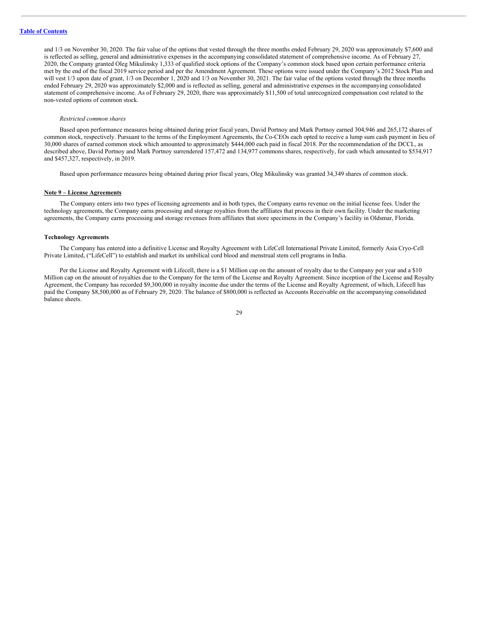and 1/3 on November 30, 2020. The fair value of the options that vested through the three months ended February 29, 2020 was approximately \$7,600 and is reflected as selling, general and administrative expenses in the accompanying consolidated statement of comprehensive income. As of February 27, 2020, the Company granted Oleg Mikulinsky 1,333 of qualified stock options of the Company's common stock based upon certain performance criteria met by the end of the fiscal 2019 service period and per the Amendment Agreement. These options were issued under the Company's 2012 Stock Plan and will vest 1/3 upon date of grant, 1/3 on December 1, 2020 and 1/3 on November 30, 2021. The fair value of the options vested through the three months ended February 29, 2020 was approximately \$2,000 and is reflected as selling, general and administrative expenses in the accompanying consolidated statement of comprehensive income. As of February 29, 2020, there was approximately \$11,500 of total unrecognized compensation cost related to the non-vested options of common stock.

#### *Restricted common shares*

Based upon performance measures being obtained during prior fiscal years, David Portnoy and Mark Portnoy earned 304,946 and 265,172 shares of common stock, respectively. Pursuant to the terms of the Employment Agreements, the Co-CEOs each opted to receive a lump sum cash payment in lieu of 30,000 shares of earned common stock which amounted to approximately \$444,000 each paid in fiscal 2018. Per the recommendation of the DCCL, as described above, David Portnoy and Mark Portnoy surrendered 157,472 and 134,977 commons shares, respectively, for cash which amounted to \$534,917 and \$457,327, respectively, in 2019.

Based upon performance measures being obtained during prior fiscal years, Oleg Mikulinsky was granted 34,349 shares of common stock.

#### **Note 9 – License Agreements**

The Company enters into two types of licensing agreements and in both types, the Company earns revenue on the initial license fees. Under the technology agreements, the Company earns processing and storage royalties from the affiliates that process in their own facility. Under the marketing agreements, the Company earns processing and storage revenues from affiliates that store specimens in the Company's facility in Oldsmar, Florida.

#### **Technology Agreements**

The Company has entered into a definitive License and Royalty Agreement with LifeCell International Private Limited, formerly Asia Cryo-Cell Private Limited, ("LifeCell") to establish and market its umbilical cord blood and menstrual stem cell programs in India.

Per the License and Royalty Agreement with Lifecell, there is a \$1 Million cap on the amount of royalty due to the Company per year and a \$10 Million cap on the amount of royalties due to the Company for the term of the License and Royalty Agreement. Since inception of the License and Royalty Agreement, the Company has recorded \$9,300,000 in royalty income due under the terms of the License and Royalty Agreement, of which, Lifecell has paid the Company \$8,500,000 as of February 29, 2020. The balance of \$800,000 is reflected as Accounts Receivable on the accompanying consolidated balance sheets.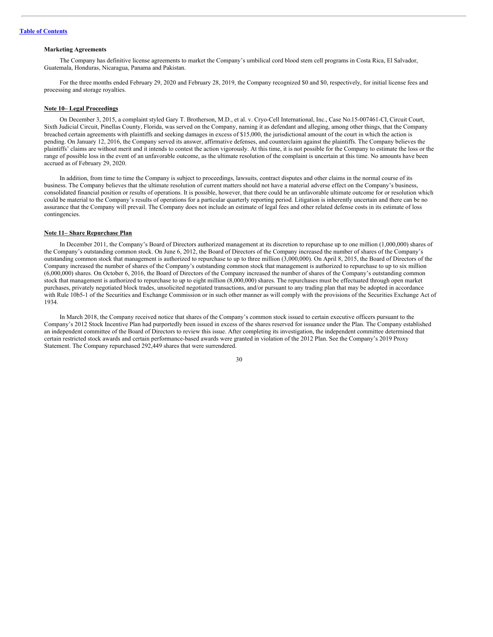## **Marketing Agreements**

The Company has definitive license agreements to market the Company's umbilical cord blood stem cell programs in Costa Rica, El Salvador, Guatemala, Honduras, Nicaragua, Panama and Pakistan.

For the three months ended February 29, 2020 and February 28, 2019, the Company recognized \$0 and \$0, respectively, for initial license fees and processing and storage royalties.

#### **Note 10– Legal Proceedings**

On December 3, 2015, a complaint styled Gary T. Brotherson, M.D., et al. v. Cryo-Cell International, Inc., Case No.15-007461-CI, Circuit Court, Sixth Judicial Circuit, Pinellas County, Florida, was served on the Company, naming it as defendant and alleging, among other things, that the Company breached certain agreements with plaintiffs and seeking damages in excess of \$15,000, the jurisdictional amount of the court in which the action is pending. On January 12, 2016, the Company served its answer, affirmative defenses, and counterclaim against the plaintiffs. The Company believes the plaintiffs' claims are without merit and it intends to contest the action vigorously. At this time, it is not possible for the Company to estimate the loss or the range of possible loss in the event of an unfavorable outcome, as the ultimate resolution of the complaint is uncertain at this time. No amounts have been accrued as of February 29, 2020.

In addition, from time to time the Company is subject to proceedings, lawsuits, contract disputes and other claims in the normal course of its business. The Company believes that the ultimate resolution of current matters should not have a material adverse effect on the Company's business, consolidated financial position or results of operations. It is possible, however, that there could be an unfavorable ultimate outcome for or resolution which could be material to the Company's results of operations for a particular quarterly reporting period. Litigation is inherently uncertain and there can be no assurance that the Company will prevail. The Company does not include an estimate of legal fees and other related defense costs in its estimate of loss contingencies.

## **Note 11– Share Repurchase Plan**

In December 2011, the Company's Board of Directors authorized management at its discretion to repurchase up to one million (1,000,000) shares of the Company's outstanding common stock. On June 6, 2012, the Board of Directors of the Company increased the number of shares of the Company's outstanding common stock that management is authorized to repurchase to up to three million (3,000,000). On April 8, 2015, the Board of Directors of the Company increased the number of shares of the Company's outstanding common stock that management is authorized to repurchase to up to six million (6,000,000) shares. On October 6, 2016, the Board of Directors of the Company increased the number of shares of the Company's outstanding common stock that management is authorized to repurchase to up to eight million (8,000,000) shares. The repurchases must be effectuated through open market purchases, privately negotiated block trades, unsolicited negotiated transactions, and/or pursuant to any trading plan that may be adopted in accordance with Rule 10b5-1 of the Securities and Exchange Commission or in such other manner as will comply with the provisions of the Securities Exchange Act of 1934.

In March 2018, the Company received notice that shares of the Company's common stock issued to certain executive officers pursuant to the Company's 2012 Stock Incentive Plan had purportedly been issued in excess of the shares reserved for issuance under the Plan. The Company established an independent committee of the Board of Directors to review this issue. After completing its investigation, the independent committee determined that certain restricted stock awards and certain performance-based awards were granted in violation of the 2012 Plan. See the Company's 2019 Proxy Statement. The Company repurchased 292,449 shares that were surrendered.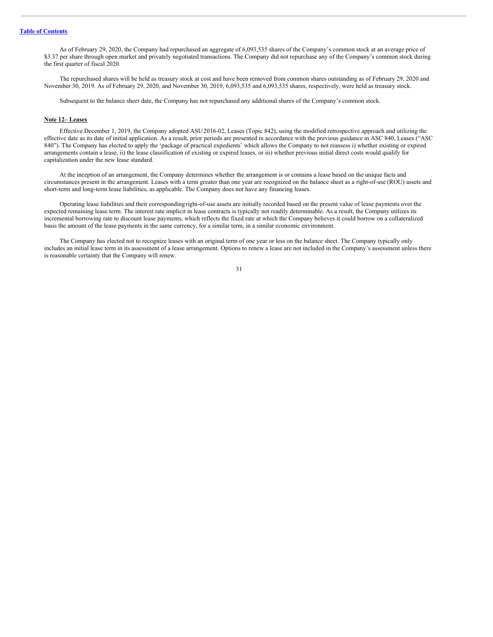As of February 29, 2020, the Company had repurchased an aggregate of 6,093,535 shares of the Company's common stock at an average price of \$3.37 per share through open market and privately negotiated transactions. The Company did not repurchase any of the Company's common stock during the first quarter of fiscal 2020.

The repurchased shares will be held as treasury stock at cost and have been removed from common shares outstanding as of February 29, 2020 and November 30, 2019. As of February 29, 2020, and November 30, 2019, 6,093,535 and 6,093,535 shares, respectively, were held as treasury stock.

Subsequent to the balance sheet date, the Company has not repurchased any additional shares of the Company's common stock.

#### **Note 12– Leases**

Effective December 1, 2019, the Company adopted ASU2016-02, Leases (Topic 842), using the modified retrospective approach and utilizing the effective date as its date of initial application. As a result, prior periods are presented in accordance with the previous guidance in ASC 840, Leases ("ASC 840"). The Company has elected to apply the 'package of practical expedients' which allows the Company to not reassess i) whether existing or expired arrangements contain a lease, ii) the lease classification of existing or expired leases, or iii) whether previous initial direct costs would qualify for capitalization under the new lease standard.

At the inception of an arrangement, the Company determines whether the arrangement is or contains a lease based on the unique facts and circumstances present in the arrangement. Leases with a term greater than one year are recognized on the balance sheet as a right-of-use (ROU) assets and short-term and long-term lease liabilities, as applicable. The Company does not have any financing leases.

Operating lease liabilities and their corresponding right-of-use assets are initially recorded based on the present value of lease payments over the expected remaining lease term. The interest rate implicit in lease contracts is typically not readily determinable. As a result, the Company utilizes its incremental borrowing rate to discount lease payments, which reflects the fixed rate at which the Company believes it could borrow on a collateralized basis the amount of the lease payments in the same currency, for a similar term, in a similar economic environment.

The Company has elected not to recognize leases with an original term of one year or less on the balance sheet. The Company typically only includes an initial lease term in its assessment of a lease arrangement. Options to renew a lease are not included in the Company's assessment unless there is reasonable certainty that the Company will renew.

| I                |  |
|------------------|--|
| I<br>٠<br>$\sim$ |  |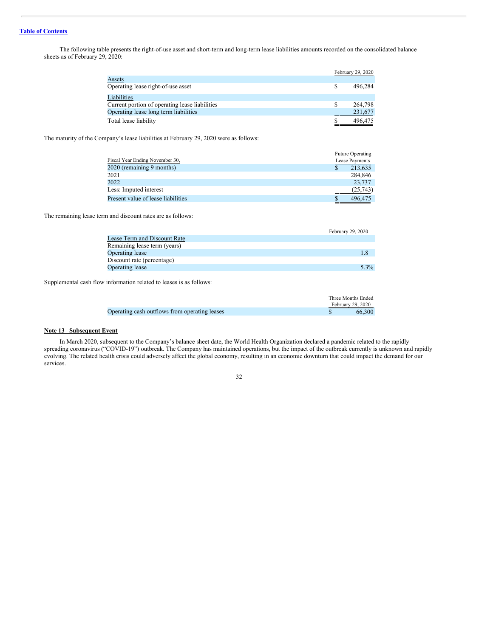The following table presents the right-of-use asset and short-term and long-term lease liabilities amounts recorded on the consolidated balance sheets as of February 29, 2020:

|                                                |   | February 29, 2020 |
|------------------------------------------------|---|-------------------|
| Assets                                         |   |                   |
| Operating lease right-of-use asset             | S | 496.284           |
| Liabilities                                    |   |                   |
| Current portion of operating lease liabilities | S | 264,798           |
| Operating lease long term liabilities          |   | 231,677           |
| Total lease liability                          |   | 496,475           |

The maturity of the Company's lease liabilities at February 29, 2020 were as follows:

|                                    | <b>Future Operating</b> |           |
|------------------------------------|-------------------------|-----------|
| Fiscal Year Ending November 30,    | Lease Payments          |           |
| 2020 (remaining 9 months)          |                         | 213,635   |
| 2021                               |                         | 284,846   |
| 2022                               |                         | 23.737    |
| Less: Imputed interest             |                         | (25, 743) |
| Present value of lease liabilities |                         | 496,475   |

The remaining lease term and discount rates are as follows:

|                              | February 29, 2020 |
|------------------------------|-------------------|
| Lease Term and Discount Rate |                   |
| Remaining lease term (years) |                   |
| Operating lease              | 1.8               |
| Discount rate (percentage)   |                   |
| Operating lease              | $5.3\%$           |

Supplemental cash flow information related to leases is as follows:

|                                               | Three Months Ended |
|-----------------------------------------------|--------------------|
|                                               | February 29, 2020  |
| Operating cash outflows from operating leases | 66.300             |

## **Note 13– Subsequent Event**

In March 2020, subsequent to the Company's balance sheet date, the World Health Organization declared a pandemic related to the rapidly spreading coronavirus ("COVID-19") outbreak. The Company has maintained operations, but the impact of the outbreak currently is unknown and rapidly evolving. The related health crisis could adversely affect the global economy, resulting in an economic downturn that could impact the demand for our services.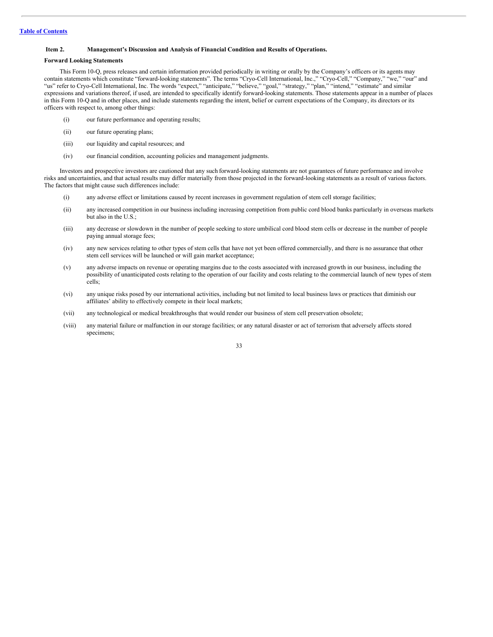## <span id="page-32-0"></span>**Item 2. Management's Discussion and Analysis of Financial Condition and Results of Operations.**

## **Forward Looking Statements**

This Form 10-Q, press releases and certain information provided periodically in writing or orally by the Company's officers or its agents may contain statements which constitute "forward-looking statements". The terms "Cryo-Cell International, Inc.," "Cryo-Cell," "Company," "we," "our" and "us" refer to Cryo-Cell International, Inc. The words "expect," "anticipate," "believe," "goal," "strategy," "plan," "intend," "estimate" and similar expressions and variations thereof, if used, are intended to specifically identify forward-looking statements. Those statements appear in a number of places in this Form 10-Q and in other places, and include statements regarding the intent, belief or current expectations of the Company, its directors or its officers with respect to, among other things:

- (i) our future performance and operating results;
- (ii) our future operating plans;
- (iii) our liquidity and capital resources; and
- (iv) our financial condition, accounting policies and management judgments.

Investors and prospective investors are cautioned that any such forward-looking statements are not guarantees of future performance and involve risks and uncertainties, and that actual results may differ materially from those projected in the forward-looking statements as a result of various factors. The factors that might cause such differences include:

- (i) any adverse effect or limitations caused by recent increases in government regulation of stem cell storage facilities;
- (ii) any increased competition in our business including increasing competition from public cord blood banks particularly in overseas markets but also in the U.S.;
- (iii) any decrease or slowdown in the number of people seeking to store umbilical cord blood stem cells or decrease in the number of people paying annual storage fees;
- (iv) any new services relating to other types of stem cells that have not yet been offered commercially, and there is no assurance that other stem cell services will be launched or will gain market acceptance;
- (v) any adverse impacts on revenue or operating margins due to the costs associated with increased growth in our business, including the possibility of unanticipated costs relating to the operation of our facility and costs relating to the commercial launch of new types of stem cells;
- (vi) any unique risks posed by our international activities, including but not limited to local business laws or practices that diminish our affiliates' ability to effectively compete in their local markets;
- (vii) any technological or medical breakthroughs that would render our business of stem cell preservation obsolete;
- (viii) any material failure or malfunction in our storage facilities; or any natural disaster or act of terrorism that adversely affects stored specimens;

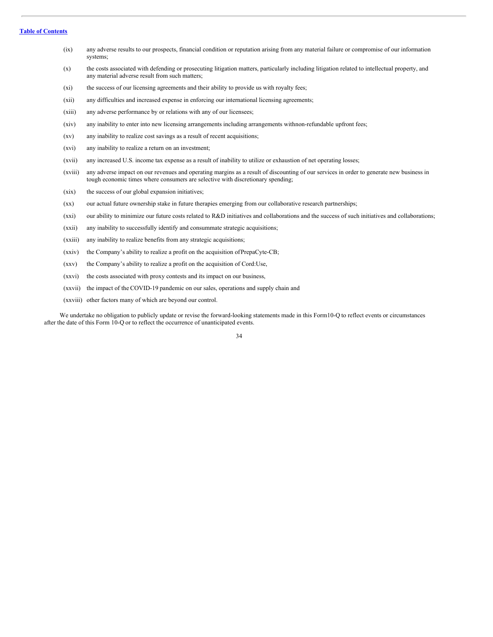## **Table of [Contents](#page-1-0)**

- (ix) any adverse results to our prospects, financial condition or reputation arising from any material failure or compromise of our information systems;
- (x) the costs associated with defending or prosecuting litigation matters, particularly including litigation related to intellectual property, and any material adverse result from such matters;
- (xi) the success of our licensing agreements and their ability to provide us with royalty fees;
- (xii) any difficulties and increased expense in enforcing our international licensing agreements;
- (xiii) any adverse performance by or relations with any of our licensees;
- (xiv) any inability to enter into new licensing arrangements including arrangements withnon-refundable upfront fees;
- (xv) any inability to realize cost savings as a result of recent acquisitions;
- (xvi) any inability to realize a return on an investment;
- (xvii) any increased U.S. income tax expense as a result of inability to utilize or exhaustion of net operating losses;
- (xviii) any adverse impact on our revenues and operating margins as a result of discounting of our services in order to generate new business in tough economic times where consumers are selective with discretionary spending;
- (xix) the success of our global expansion initiatives;
- (xx) our actual future ownership stake in future therapies emerging from our collaborative research partnerships;
- (xxi) our ability to minimize our future costs related to R&D initiatives and collaborations and the success of such initiatives and collaborations;
- (xxii) any inability to successfully identify and consummate strategic acquisitions;
- (xxiii) any inability to realize benefits from any strategic acquisitions;
- (xxiv) the Company's ability to realize a profit on the acquisition ofPrepaCyte-CB;
- (xxv) the Company's ability to realize a profit on the acquisition of Cord:Use,
- (xxvi) the costs associated with proxy contests and its impact on our business,
- (xxvii) the impact of the COVID-19 pandemic on our sales, operations and supply chain and
- (xxviii) other factors many of which are beyond our control.

We undertake no obligation to publicly update or revise the forward-looking statements made in this Form10-Q to reflect events or circumstances after the date of this Form 10-Q or to reflect the occurrence of unanticipated events.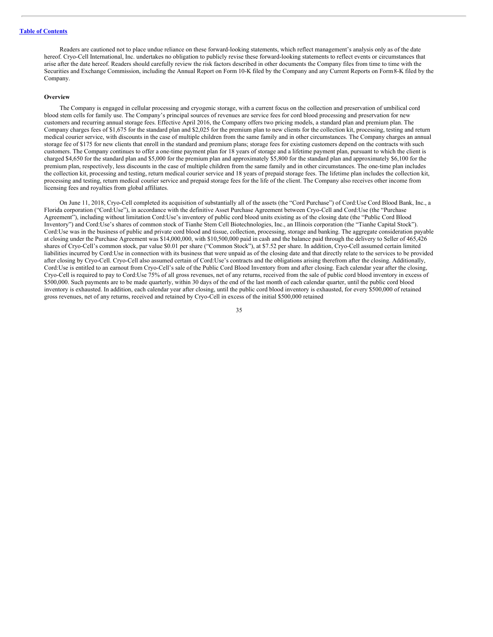## **Table of [Contents](#page-1-0)**

Readers are cautioned not to place undue reliance on these forward-looking statements, which reflect management's analysis only as of the date hereof. Cryo-Cell International, Inc. undertakes no obligation to publicly revise these forward-looking statements to reflect events or circumstances that arise after the date hereof. Readers should carefully review the risk factors described in other documents the Company files from time to time with the Securities and Exchange Commission, including the Annual Report on Form 10-K filed by the Company and any Current Reports on Form8-K filed by the Company.

## **Overview**

The Company is engaged in cellular processing and cryogenic storage, with a current focus on the collection and preservation of umbilical cord blood stem cells for family use. The Company's principal sources of revenues are service fees for cord blood processing and preservation for new customers and recurring annual storage fees. Effective April 2016, the Company offers two pricing models, a standard plan and premium plan. The Company charges fees of \$1,675 for the standard plan and \$2,025 for the premium plan to new clients for the collection kit, processing, testing and return medical courier service, with discounts in the case of multiple children from the same family and in other circumstances. The Company charges an annual storage fee of \$175 for new clients that enroll in the standard and premium plans; storage fees for existing customers depend on the contracts with such customers. The Company continues to offer a one-time payment plan for 18 years of storage and a lifetime payment plan, pursuant to which the client is charged \$4,650 for the standard plan and \$5,000 for the premium plan and approximately \$5,800 for the standard plan and approximately \$6,100 for the premium plan, respectively, less discounts in the case of multiple children from the same family and in other circumstances. The one-time plan includes the collection kit, processing and testing, return medical courier service and 18 years of prepaid storage fees. The lifetime plan includes the collection kit, processing and testing, return medical courier service and prepaid storage fees for the life of the client. The Company also receives other income from licensing fees and royalties from global affiliates.

On June 11, 2018, Cryo-Cell completed its acquisition of substantially all of the assets (the "Cord Purchase") of Cord:Use Cord Blood Bank, Inc., a Florida corporation ("Cord:Use"), in accordance with the definitive Asset Purchase Agreement between Cryo-Cell and Cord:Use (the "Purchase Agreement"), including without limitation Cord:Use's inventory of public cord blood units existing as of the closing date (the "Public Cord Blood Inventory") and Cord:Use's shares of common stock of Tianhe Stem Cell Biotechnologies, Inc., an Illinois corporation (the "Tianhe Capital Stock"). Cord:Use was in the business of public and private cord blood and tissue, collection, processing, storage and banking. The aggregate consideration payable at closing under the Purchase Agreement was \$14,000,000, with \$10,500,000 paid in cash and the balance paid through the delivery to Seller of 465,426 shares of Cryo-Cell's common stock, par value \$0.01 per share ("Common Stock"), at \$7.52 per share. In addition, Cryo-Cell assumed certain limited liabilities incurred by Cord:Use in connection with its business that were unpaid as of the closing date and that directly relate to the services to be provided after closing by Cryo-Cell. Cryo-Cell also assumed certain of Cord:Use's contracts and the obligations arising therefrom after the closing. Additionally, Cord:Use is entitled to an earnout from Cryo-Cell's sale of the Public Cord Blood Inventory from and after closing. Each calendar year after the closing, Cryo-Cell is required to pay to Cord:Use 75% of all gross revenues, net of any returns, received from the sale of public cord blood inventory in excess of \$500,000. Such payments are to be made quarterly, within 30 days of the end of the last month of each calendar quarter, until the public cord blood inventory is exhausted. In addition, each calendar year after closing, until the public cord blood inventory is exhausted, for every \$500,000 of retained gross revenues, net of any returns, received and retained by Cryo-Cell in excess of the initial \$500,000 retained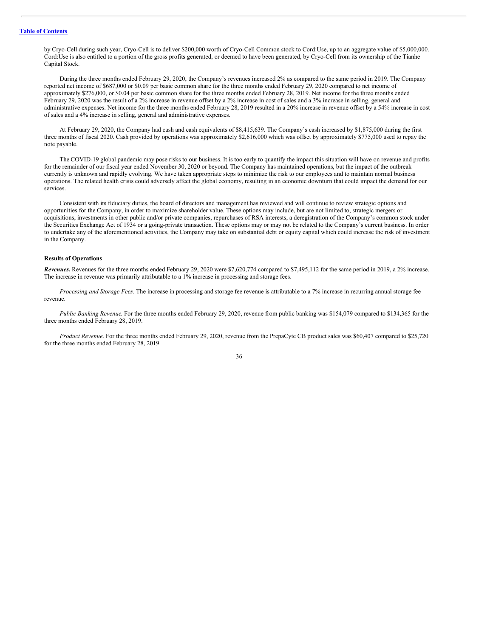by Cryo-Cell during such year, Cryo-Cell is to deliver \$200,000 worth of Cryo-Cell Common stock to Cord:Use, up to an aggregate value of \$5,000,000. Cord:Use is also entitled to a portion of the gross profits generated, or deemed to have been generated, by Cryo-Cell from its ownership of the Tianhe Capital Stock.

During the three months ended February 29, 2020, the Company's revenues increased 2% as compared to the same period in 2019. The Company reported net income of \$687,000 or \$0.09 per basic common share for the three months ended February 29, 2020 compared to net income of approximately \$276,000, or \$0.04 per basic common share for the three months ended February 28, 2019. Net income for the three months ended February 29, 2020 was the result of a 2% increase in revenue offset by a 2% increase in cost of sales and a 3% increase in selling, general and administrative expenses. Net income for the three months ended February 28, 2019 resulted in a 20% increase in revenue offset by a 54% increase in cost of sales and a 4% increase in selling, general and administrative expenses.

At February 29, 2020, the Company had cash and cash equivalents of \$8,415,639. The Company's cash increased by \$1,875,000 during the first three months of fiscal 2020. Cash provided by operations was approximately \$2,616,000 which was offset by approximately \$775,000 used to repay the note payable.

The COVID-19 global pandemic may pose risks to our business. It is too early to quantify the impact this situation will have on revenue and profits for the remainder of our fiscal year ended November 30, 2020 or beyond. The Company has maintained operations, but the impact of the outbreak currently is unknown and rapidly evolving. We have taken appropriate steps to minimize the risk to our employees and to maintain normal business operations. The related health crisis could adversely affect the global economy, resulting in an economic downturn that could impact the demand for our services.

Consistent with its fiduciary duties, the board of directors and management has reviewed and will continue to review strategic options and opportunities for the Company, in order to maximize shareholder value. These options may include, but are not limited to, strategic mergers or acquisitions, investments in other public and/or private companies, repurchases of RSA interests, a deregistration of the Company's common stock under the Securities Exchange Act of 1934 or a going-private transaction. These options may or may not be related to the Company's current business. In order to undertake any of the aforementioned activities, the Company may take on substantial debt or equity capital which could increase the risk of investment in the Company.

#### **Results of Operations**

*Revenues.* Revenues for the three months ended February 29, 2020 were \$7,620,774 compared to \$7,495,112 for the same period in 2019, a 2% increase. The increase in revenue was primarily attributable to a 1% increase in processing and storage fees.

*Processing and Storage Fees.* The increase in processing and storage fee revenue is attributable to a 7% increase in recurring annual storage fee revenue.

Public Banking Revenue. For the three months ended February 29, 2020, revenue from public banking was \$154,079 compared to \$134,365 for the three months ended February 28, 2019.

*Product Revenue*. For the three months ended February 29, 2020, revenue from the PrepaCyte CB product sales was \$60,407 compared to \$25,720 for the three months ended February 28, 2019.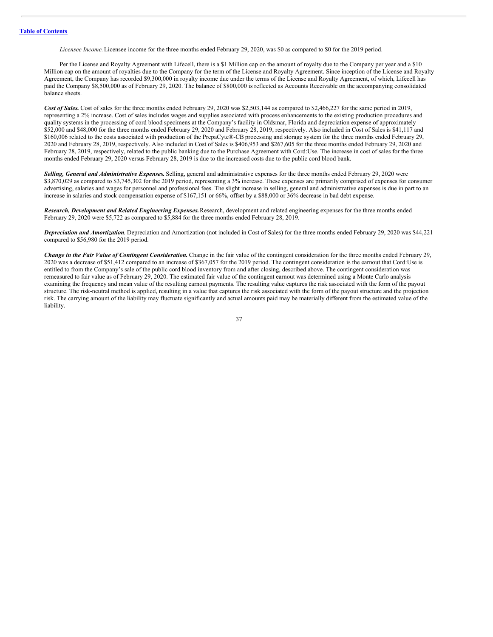*Licensee Income.*Licensee income for the three months ended February 29, 2020, was \$0 as compared to \$0 for the 2019 period.

Per the License and Royalty Agreement with Lifecell, there is a \$1 Million cap on the amount of royalty due to the Company per year and a \$10 Million cap on the amount of royalties due to the Company for the term of the License and Royalty Agreement. Since inception of the License and Royalty Agreement, the Company has recorded \$9,300,000 in royalty income due under the terms of the License and Royalty Agreement, of which, Lifecell has paid the Company \$8,500,000 as of February 29, 2020. The balance of \$800,000 is reflected as Accounts Receivable on the accompanying consolidated balance sheets.

*Cost of Sales.* Cost of sales for the three months ended February 29, 2020 was \$2,503,144 as compared to \$2,466,227 for the same period in 2019, representing a 2% increase. Cost of sales includes wages and supplies associated with process enhancements to the existing production procedures and quality systems in the processing of cord blood specimens at the Company's facility in Oldsmar, Florida and depreciation expense of approximately \$52,000 and \$48,000 for the three months ended February 29, 2020 and February 28, 2019, respectively. Also included in Cost of Sales is \$41,117 and \$160,006 related to the costs associated with production of the PrepaCyte®-CB processing and storage system for the three months ended February 29, 2020 and February 28, 2019, respectively. Also included in Cost of Sales is \$406,953 and \$267,605 for the three months ended February 29, 2020 and February 28, 2019, respectively, related to the public banking due to the Purchase Agreement with Cord:Use. The increase in cost of sales for the three months ended February 29, 2020 versus February 28, 2019 is due to the increased costs due to the public cord blood bank.

*Selling, General and Administrative Expenses.* Selling, general and administrative expenses for the three months ended February 29, 2020 were \$3,870,029 as compared to \$3,745,302 for the 2019 period, representing a 3% increase. These expenses are primarily comprised of expenses for consumer advertising, salaries and wages for personnel and professional fees. The slight increase in selling, general and administrative expenses is due in part to an increase in salaries and stock compensation expense of \$167,151 or 66%, offset by a \$88,000 or 36% decrease in bad debt expense.

*Research, Development and Related Engineering Expenses.*Research, development and related engineering expenses for the three months ended February 29, 2020 were \$5,722 as compared to \$5,884 for the three months ended February 28, 2019.

*Depreciation and Amortization*. Depreciation and Amortization (not included in Cost of Sales) for the three months ended February 29, 2020 was \$44,221 compared to \$56,980 for the 2019 period.

*Change in the Fair Value of Contingent Consideration.* Change in the fair value of the contingent consideration for the three months ended February 29, 2020 was a decrease of \$51,412 compared to an increase of \$367,057 for the 2019 period. The contingent consideration is the earnout that Cord:Use is entitled to from the Company's sale of the public cord blood inventory from and after closing, described above. The contingent consideration was remeasured to fair value as of February 29, 2020. The estimated fair value of the contingent earnout was determined using a Monte Carlo analysis examining the frequency and mean value of the resulting earnout payments. The resulting value captures the risk associated with the form of the payout structure. The risk-neutral method is applied, resulting in a value that captures the risk associated with the form of the payout structure and the projection risk. The carrying amount of the liability may fluctuate significantly and actual amounts paid may be materially different from the estimated value of the liability.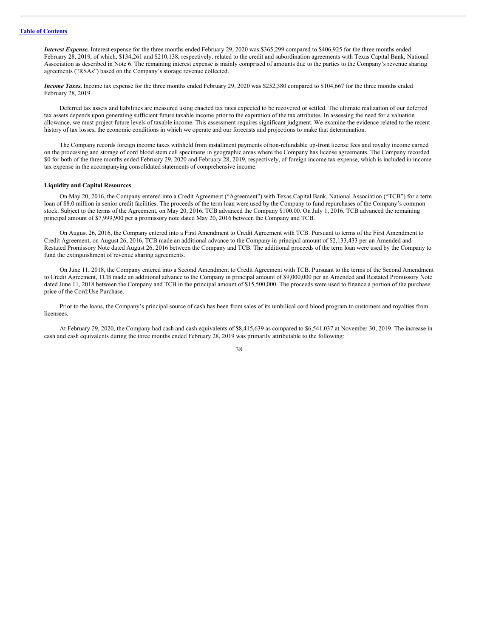*Interest Expense.* Interest expense for the three months ended February 29, 2020 was \$365,299 compared to \$406,925 for the three months ended February 28, 2019, of which, \$134,261 and \$210,138, respectively, related to the credit and subordination agreements with Texas Capital Bank, National Association as described in Note 6. The remaining interest expense is mainly comprised of amounts due to the parties to the Company's revenue sharing agreements ("RSAs") based on the Company's storage revenue collected.

*Income Taxes***.** Income tax expense for the three months ended February 29, 2020 was \$252,380 compared to \$104,667 for the three months ended February 28, 2019.

Deferred tax assets and liabilities are measured using enacted tax rates expected to be recovered or settled. The ultimate realization of our deferred tax assets depends upon generating sufficient future taxable income prior to the expiration of the tax attributes. In assessing the need for a valuation allowance, we must project future levels of taxable income. This assessment requires significant judgment. We examine the evidence related to the recent history of tax losses, the economic conditions in which we operate and our forecasts and projections to make that determination.

The Company records foreign income taxes withheld from installment payments ofnon-refundable up-front license fees and royalty income earned on the processing and storage of cord blood stem cell specimens in geographic areas where the Company has license agreements. The Company recorded \$0 for both of the three months ended February 29, 2020 and February 28, 2019, respectively, of foreign income tax expense, which is included in income tax expense in the accompanying consolidated statements of comprehensive income.

## **Liquidity and Capital Resources**

On May 20, 2016, the Company entered into a Credit Agreement ("Agreement") with Texas Capital Bank, National Association ("TCB") for a term loan of \$8.0 million in senior credit facilities. The proceeds of the term loan were used by the Company to fund repurchases of the Company's common stock. Subject to the terms of the Agreement, on May 20, 2016, TCB advanced the Company \$100.00. On July 1, 2016, TCB advanced the remaining principal amount of \$7,999,900 per a promissory note dated May 20, 2016 between the Company and TCB.

On August 26, 2016, the Company entered into a First Amendment to Credit Agreement with TCB. Pursuant to terms of the First Amendment to Credit Agreement, on August 26, 2016, TCB made an additional advance to the Company in principal amount of \$2,133,433 per an Amended and Restated Promissory Note dated August 26, 2016 between the Company and TCB. The additional proceeds of the term loan were used by the Company to fund the extinguishment of revenue sharing agreements.

On June 11, 2018, the Company entered into a Second Amendment to Credit Agreement with TCB. Pursuant to the terms of the Second Amendment to Credit Agreement, TCB made an additional advance to the Company in principal amount of \$9,000,000 per an Amended and Restated Promissory Note dated June 11, 2018 between the Company and TCB in the principal amount of \$15,500,000. The proceeds were used to finance a portion of the purchase price of the Cord:Use Purchase.

Prior to the loans, the Company's principal source of cash has been from sales of its umbilical cord blood program to customers and royalties from licensees.

At February 29, 2020, the Company had cash and cash equivalents of \$8,415,639 as compared to \$6,541,037 at November 30, 2019. The increase in cash and cash equivalents during the three months ended February 28, 2019 was primarily attributable to the following: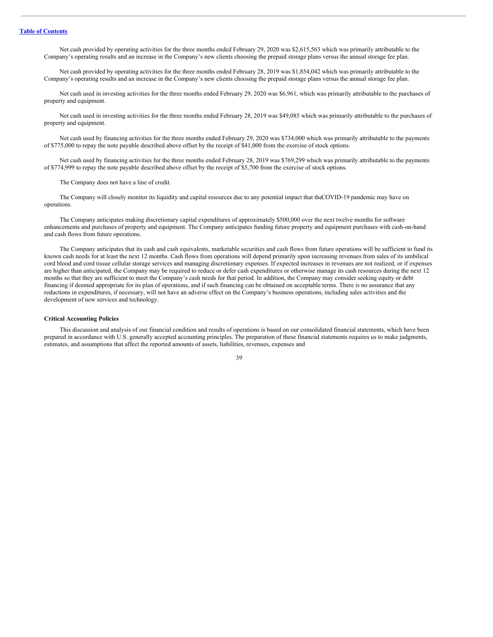Net cash provided by operating activities for the three months ended February 29, 2020 was \$2,615,563 which was primarily attributable to the Company's operating results and an increase in the Company's new clients choosing the prepaid storage plans versus the annual storage fee plan.

Net cash provided by operating activities for the three months ended February 28, 2019 was \$1,854,042 which was primarily attributable to the Company's operating results and an increase in the Company's new clients choosing the prepaid storage plans versus the annual storage fee plan.

Net cash used in investing activities for the three months ended February 29, 2020 was \$6,961, which was primarily attributable to the purchases of property and equipment.

Net cash used in investing activities for the three months ended February 28, 2019 was \$49,085 which was primarily attributable to the purchases of property and equipment.

Net cash used by financing activities for the three months ended February 29, 2020 was \$734,000 which was primarily attributable to the payments of \$775,000 to repay the note payable described above offset by the receipt of \$41,000 from the exercise of stock options.

Net cash used by financing activities for the three months ended February 28, 2019 was \$769,299 which was primarily attributable to the payments of \$774,999 to repay the note payable described above offset by the receipt of \$5,700 from the exercise of stock options.

The Company does not have a line of credit.

The Company will closely monitor its liquidity and capital resources due to any potential impact that theCOVID-19 pandemic may have on operations.

The Company anticipates making discretionary capital expenditures of approximately \$500,000 over the next twelve months for software enhancements and purchases of property and equipment. The Company anticipates funding future property and equipment purchases with cash-on-hand and cash flows from future operations.

The Company anticipates that its cash and cash equivalents, marketable securities and cash flows from future operations will be sufficient to fund its known cash needs for at least the next 12 months. Cash flows from operations will depend primarily upon increasing revenues from sales of its umbilical cord blood and cord tissue cellular storage services and managing discretionary expenses. If expected increases in revenues are not realized, or if expenses are higher than anticipated, the Company may be required to reduce or defer cash expenditures or otherwise manage its cash resources during the next 12 months so that they are sufficient to meet the Company's cash needs for that period. In addition, the Company may consider seeking equity or debt financing if deemed appropriate for its plan of operations, and if such financing can be obtained on acceptable terms. There is no assurance that any reductions in expenditures, if necessary, will not have an adverse effect on the Company's business operations, including sales activities and the development of new services and technology.

## **Critical Accounting Policies**

This discussion and analysis of our financial condition and results of operations is based on our consolidated financial statements, which have been prepared in accordance with U.S. generally accepted accounting principles. The preparation of these financial statements requires us to make judgments, estimates, and assumptions that affect the reported amounts of assets, liabilities, revenues, expenses and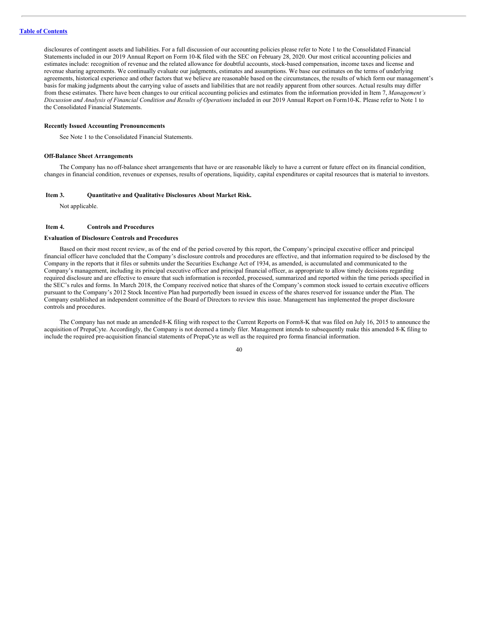disclosures of contingent assets and liabilities. For a full discussion of our accounting policies please refer to Note 1 to the Consolidated Financial Statements included in our 2019 Annual Report on Form 10-K filed with the SEC on February 28, 2020. Our most critical accounting policies and estimates include: recognition of revenue and the related allowance for doubtful accounts, stock-based compensation, income taxes and license and revenue sharing agreements. We continually evaluate our judgments, estimates and assumptions. We base our estimates on the terms of underlying agreements, historical experience and other factors that we believe are reasonable based on the circumstances, the results of which form our management's basis for making judgments about the carrying value of assets and liabilities that are not readily apparent from other sources. Actual results may differ from these estimates. There have been changes to our critical accounting policies and estimates from the information provided in Item 7, *Management's Discussion and Analysis of Financial Condition and Results of Operations* included in our 2019 Annual Report on Form10-K. Please refer to Note 1 to the Consolidated Financial Statements.

## **Recently Issued Accounting Pronouncements**

See Note 1 to the Consolidated Financial Statements.

#### **Off-Balance Sheet Arrangements**

The Company has no off-balance sheet arrangements that have or are reasonable likely to have a current or future effect on its financial condition, changes in financial condition, revenues or expenses, results of operations, liquidity, capital expenditures or capital resources that is material to investors.

## <span id="page-39-0"></span>**Item 3. Quantitative and Qualitative Disclosures About Market Risk.**

Not applicable.

## <span id="page-39-1"></span>**Item 4. Controls and Procedures**

## **Evaluation of Disclosure Controls and Procedures**

Based on their most recent review, as of the end of the period covered by this report, the Company's principal executive officer and principal financial officer have concluded that the Company's disclosure controls and procedures are effective, and that information required to be disclosed by the Company in the reports that it files or submits under the Securities Exchange Act of 1934, as amended, is accumulated and communicated to the Company's management, including its principal executive officer and principal financial officer, as appropriate to allow timely decisions regarding required disclosure and are effective to ensure that such information is recorded, processed, summarized and reported within the time periods specified in the SEC's rules and forms. In March 2018, the Company received notice that shares of the Company's common stock issued to certain executive officers pursuant to the Company's 2012 Stock Incentive Plan had purportedly been issued in excess of the shares reserved for issuance under the Plan. The Company established an independent committee of the Board of Directors to review this issue. Management has implemented the proper disclosure controls and procedures.

The Company has not made an amended8-K filing with respect to the Current Reports on Form8-K that was filed on July 16, 2015 to announce the acquisition of PrepaCyte. Accordingly, the Company is not deemed a timely filer. Management intends to subsequently make this amended 8-K filing to include the required pre-acquisition financial statements of PrepaCyte as well as the required pro forma financial information.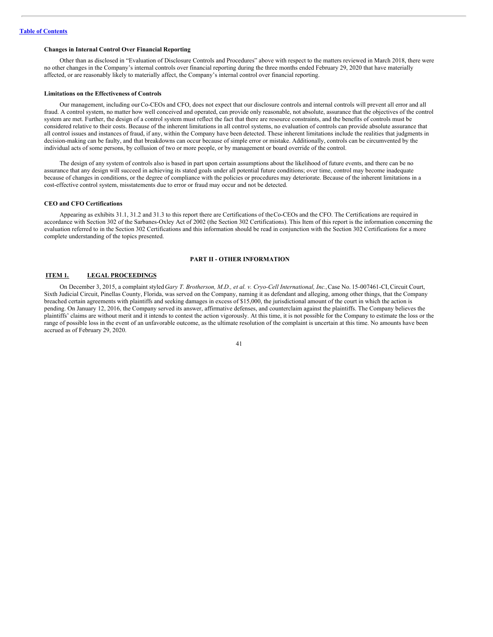## **Changes in Internal Control Over Financial Reporting**

Other than as disclosed in "Evaluation of Disclosure Controls and Procedures" above with respect to the matters reviewed in March 2018, there were no other changes in the Company's internal controls over financial reporting during the three months ended February 29, 2020 that have materially affected, or are reasonably likely to materially affect, the Company's internal control over financial reporting.

## **Limitations on the Effectiveness of Controls**

Our management, including ourCo-CEOs and CFO, does not expect that our disclosure controls and internal controls will prevent all error and all fraud. A control system, no matter how well conceived and operated, can provide only reasonable, not absolute, assurance that the objectives of the control system are met. Further, the design of a control system must reflect the fact that there are resource constraints, and the benefits of controls must be considered relative to their costs. Because of the inherent limitations in all control systems, no evaluation of controls can provide absolute assurance that all control issues and instances of fraud, if any, within the Company have been detected. These inherent limitations include the realities that judgments in decision-making can be faulty, and that breakdowns can occur because of simple error or mistake. Additionally, controls can be circumvented by the individual acts of some persons, by collusion of two or more people, or by management or board override of the control.

The design of any system of controls also is based in part upon certain assumptions about the likelihood of future events, and there can be no assurance that any design will succeed in achieving its stated goals under all potential future conditions; over time, control may become inadequate because of changes in conditions, or the degree of compliance with the policies or procedures may deteriorate. Because of the inherent limitations in a cost-effective control system, misstatements due to error or fraud may occur and not be detected.

## **CEO and CFO Certifications**

Appearing as exhibits 31.1, 31.2 and 31.3 to this report there are Certifications of theCo-CEOs and the CFO. The Certifications are required in accordance with Section 302 of the Sarbanes-Oxley Act of 2002 (the Section 302 Certifications). This Item of this report is the information concerning the evaluation referred to in the Section 302 Certifications and this information should be read in conjunction with the Section 302 Certifications for a more complete understanding of the topics presented.

## <span id="page-40-0"></span>**PART II - OTHER INFORMATION**

## <span id="page-40-1"></span>**ITEM 1. LEGAL PROCEEDINGS**

On December 3, 2015, a complaint styled*Gary T. Brotherson, M.D., et al. v. Cryo-Cell International, Inc.,*Case No. 15-007461-CI, Circuit Court, Sixth Judicial Circuit, Pinellas County, Florida, was served on the Company, naming it as defendant and alleging, among other things, that the Company breached certain agreements with plaintiffs and seeking damages in excess of \$15,000, the jurisdictional amount of the court in which the action is pending. On January 12, 2016, the Company served its answer, affirmative defenses, and counterclaim against the plaintiffs. The Company believes the plaintiffs' claims are without merit and it intends to contest the action vigorously. At this time, it is not possible for the Company to estimate the loss or the range of possible loss in the event of an unfavorable outcome, as the ultimate resolution of the complaint is uncertain at this time. No amounts have been accrued as of February 29, 2020.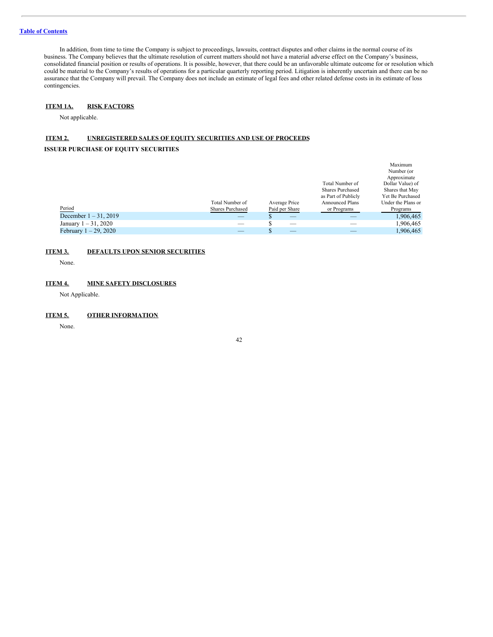In addition, from time to time the Company is subject to proceedings, lawsuits, contract disputes and other claims in the normal course of its business. The Company believes that the ultimate resolution of current matters should not have a material adverse effect on the Company's business, consolidated financial position or results of operations. It is possible, however, that there could be an unfavorable ultimate outcome for or resolution which could be material to the Company's results of operations for a particular quarterly reporting period. Litigation is inherently uncertain and there can be no assurance that the Company will prevail. The Company does not include an estimate of legal fees and other related defense costs in its estimate of loss contingencies.

# <span id="page-41-0"></span>**ITEM 1A. RISK FACTORS**

Not applicable.

# <span id="page-41-1"></span>**ITEM 2. UNREGISTERED SALES OF EQUITY SECURITIES AND USE OF PROCEEDS**

# **ISSUER PURCHASE OF EQUITY SECURITIES**

|                          |                         |                |   |                         | Maximum<br>Number (or |
|--------------------------|-------------------------|----------------|---|-------------------------|-----------------------|
|                          |                         |                |   |                         | Approximate           |
|                          |                         |                |   | Total Number of         | Dollar Value) of      |
|                          |                         |                |   | <b>Shares Purchased</b> | Shares that May       |
|                          |                         |                |   | as Part of Publicly     | Yet Be Purchased      |
|                          | Total Number of         | Average Price  |   | <b>Announced Plans</b>  | Under the Plans or    |
| Period                   | <b>Shares Purchased</b> | Paid per Share |   | or Programs             | Programs              |
| December $1 - 31$ , 2019 | _                       |                | _ | $-$                     | 1,906,465             |
| January $1 - 31$ , 2020  |                         |                |   |                         | 1,906,465             |
| February $1 - 29$ , 2020 |                         | \$.            | _ |                         | 1,906,465             |

# <span id="page-41-2"></span>**ITEM 3. DEFAULTS UPON SENIOR SECURITIES**

None.

# <span id="page-41-3"></span>**ITEM 4. MINE SAFETY DISCLOSURES**

Not Applicable.

# <span id="page-41-4"></span>**ITEM 5. OTHER INFORMATION**

None.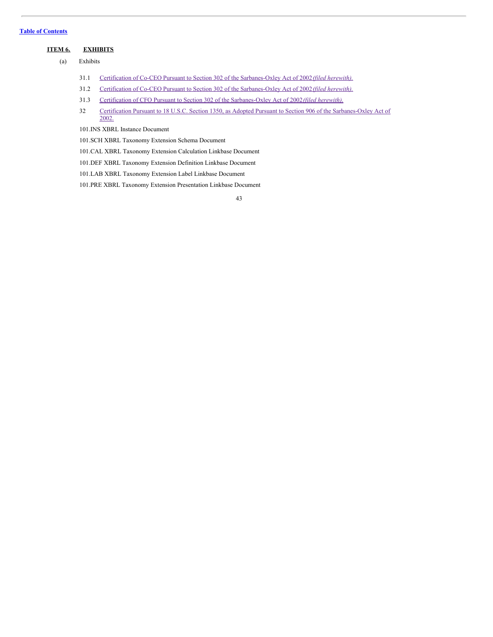## **Table of [Contents](#page-1-0)**

# <span id="page-42-0"></span>**ITEM 6. EXHIBITS**

- (a) Exhibits
	- 31.1 Certification of Co-CEO Pursuant to Section 302 of the [Sarbanes-Oxley](#page-44-0) Act of 2002*(filed herewith)*.
	- 31.2 Certification of Co-CEO Pursuant to Section 302 of the [Sarbanes-Oxley](#page-45-0) Act of 2002*(filed herewith)*.
	- 31.3 Certification of CFO Pursuant to Section 302 of the [Sarbanes-Oxley](#page-46-0) Act of 2002*(filed herewith)*.
	- 32 Certification Pursuant to 18 U.S.C. Section 1350, as Adopted Pursuant to Section 906 of the [Sarbanes-Oxley](#page-47-0) Act of 2002.

101.INS XBRL Instance Document

101.SCH XBRL Taxonomy Extension Schema Document

101.CAL XBRL Taxonomy Extension Calculation Linkbase Document

101.DEF XBRL Taxonomy Extension Definition Linkbase Document

101.LAB XBRL Taxonomy Extension Label Linkbase Document

101.PRE XBRL Taxonomy Extension Presentation Linkbase Document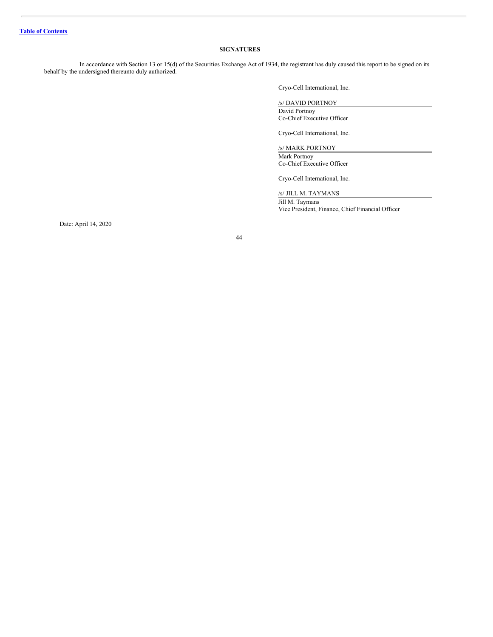## <span id="page-43-0"></span>**SIGNATURES**

In accordance with Section 13 or 15(d) of the Securities Exchange Act of 1934, the registrant has duly caused this report to be signed on its behalf by the undersigned thereunto duly authorized.

Cryo-Cell International, Inc.

/s/ DAVID PORTNOY

David Portnoy Co-Chief Executive Officer

Cryo-Cell International, Inc.

/s/ MARK PORTNOY

Mark Portnoy Co-Chief Executive Officer

Cryo-Cell International, Inc.

/s/ JILL M. TAYMANS

Jill M. Taymans Vice President, Finance, Chief Financial Officer

Date: April 14, 2020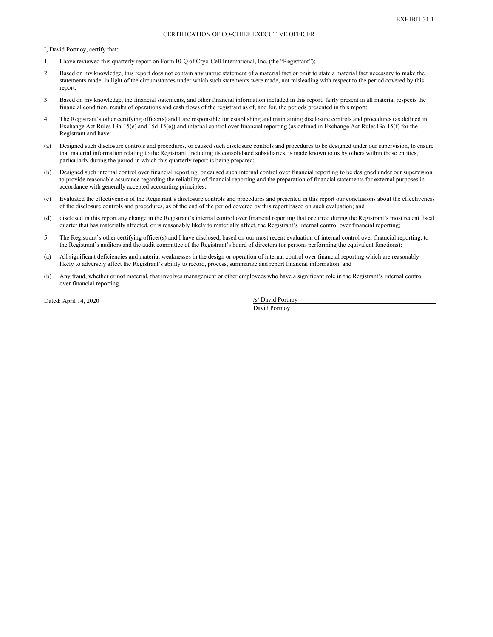## CERTIFICATION OF CO-CHIEF EXECUTIVE OFFICER

<span id="page-44-0"></span>I, David Portnoy, certify that:

- 1. I have reviewed this quarterly report on Form10-Q of Cryo-Cell International, Inc. (the "Registrant");
- 2. Based on my knowledge, this report does not contain any untrue statement of a material fact or omit to state a material fact necessary to make the statements made, in light of the circumstances under which such statements were made, not misleading with respect to the period covered by this report;
- 3. Based on my knowledge, the financial statements, and other financial information included in this report, fairly present in all material respects the financial condition, results of operations and cash flows of the registrant as of, and for, the periods presented in this report;
- 4. The Registrant's other certifying officer(s) and I are responsible for establishing and maintaining disclosure controls and procedures (as defined in Exchange Act Rules 13a-15(e) and 15d-15(e)) and internal control over financial reporting (as defined in Exchange Act Rules13a-15(f) for the Registrant and have:
- (a) Designed such disclosure controls and procedures, or caused such disclosure controls and procedures to be designed under our supervision, to ensure that material information relating to the Registrant, including its consolidated subsidiaries, is made known to us by others within those entities, particularly during the period in which this quarterly report is being prepared;
- (b) Designed such internal control over financial reporting, or caused such internal control over financial reporting to be designed under our supervision, to provide reasonable assurance regarding the reliability of financial reporting and the preparation of financial statements for external purposes in accordance with generally accepted accounting principles;
- (c) Evaluated the effectiveness of the Registrant's disclosure controls and procedures and presented in this report our conclusions about the effectiveness of the disclosure controls and procedures, as of the end of the period covered by this report based on such evaluation; and
- (d) disclosed in this report any change in the Registrant's internal control over financial reporting that occurred during the Registrant's most recent fiscal quarter that has materially affected, or is reasonably likely to materially affect, the Registrant's internal control over financial reporting;
- 5. The Registrant's other certifying officer(s) and I have disclosed, based on our most recent evaluation of internal control over financial reporting, to the Registrant's auditors and the audit committee of the Registrant's board of directors (or persons performing the equivalent functions):
- (a) All significant deficiencies and material weaknesses in the design or operation of internal control over financial reporting which are reasonably likely to adversely affect the Registrant's ability to record, process, summarize and report financial information; and
- (b) Any fraud, whether or not material, that involves management or other employees who have a significant role in the Registrant's internal control over financial reporting.

Dated: April 14, 2020 /s/ David Portnoy

David Portnoy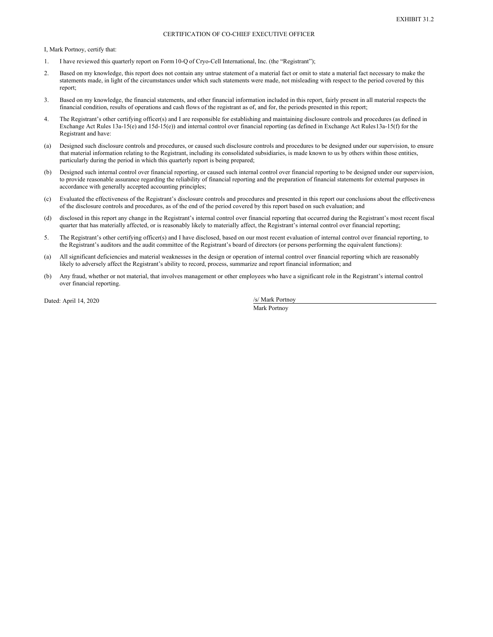## CERTIFICATION OF CO-CHIEF EXECUTIVE OFFICER

<span id="page-45-0"></span>I, Mark Portnoy, certify that:

- 1. I have reviewed this quarterly report on Form10-Q of Cryo-Cell International, Inc. (the "Registrant");
- 2. Based on my knowledge, this report does not contain any untrue statement of a material fact or omit to state a material fact necessary to make the statements made, in light of the circumstances under which such statements were made, not misleading with respect to the period covered by this report;
- 3. Based on my knowledge, the financial statements, and other financial information included in this report, fairly present in all material respects the financial condition, results of operations and cash flows of the registrant as of, and for, the periods presented in this report;
- 4. The Registrant's other certifying officer(s) and I are responsible for establishing and maintaining disclosure controls and procedures (as defined in Exchange Act Rules 13a-15(e) and 15d-15(e)) and internal control over financial reporting (as defined in Exchange Act Rules13a-15(f) for the Registrant and have:
- (a) Designed such disclosure controls and procedures, or caused such disclosure controls and procedures to be designed under our supervision, to ensure that material information relating to the Registrant, including its consolidated subsidiaries, is made known to us by others within those entities, particularly during the period in which this quarterly report is being prepared;
- (b) Designed such internal control over financial reporting, or caused such internal control over financial reporting to be designed under our supervision, to provide reasonable assurance regarding the reliability of financial reporting and the preparation of financial statements for external purposes in accordance with generally accepted accounting principles;
- (c) Evaluated the effectiveness of the Registrant's disclosure controls and procedures and presented in this report our conclusions about the effectiveness of the disclosure controls and procedures, as of the end of the period covered by this report based on such evaluation; and
- (d) disclosed in this report any change in the Registrant's internal control over financial reporting that occurred during the Registrant's most recent fiscal quarter that has materially affected, or is reasonably likely to materially affect, the Registrant's internal control over financial reporting;
- 5. The Registrant's other certifying officer(s) and I have disclosed, based on our most recent evaluation of internal control over financial reporting, to the Registrant's auditors and the audit committee of the Registrant's board of directors (or persons performing the equivalent functions):
- (a) All significant deficiencies and material weaknesses in the design or operation of internal control over financial reporting which are reasonably likely to adversely affect the Registrant's ability to record, process, summarize and report financial information; and
- (b) Any fraud, whether or not material, that involves management or other employees who have a significant role in the Registrant's internal control over financial reporting.

Dated: April 14, 2020 /s/ Mark Portnoy

Mark Portnoy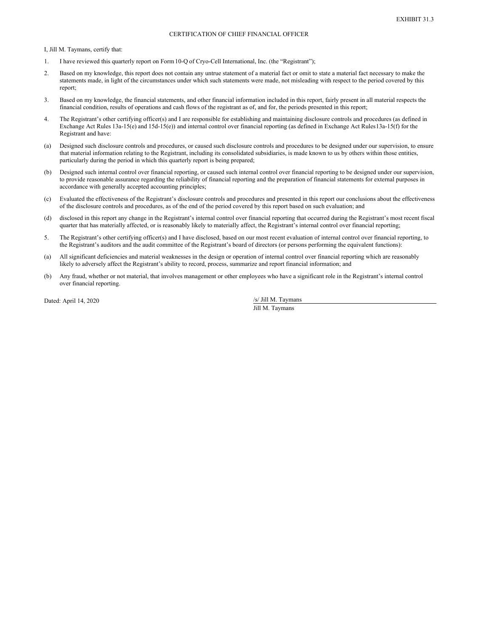## CERTIFICATION OF CHIEF FINANCIAL OFFICER

<span id="page-46-0"></span>I, Jill M. Taymans, certify that:

- 1. I have reviewed this quarterly report on Form10-Q of Cryo-Cell International, Inc. (the "Registrant");
- 2. Based on my knowledge, this report does not contain any untrue statement of a material fact or omit to state a material fact necessary to make the statements made, in light of the circumstances under which such statements were made, not misleading with respect to the period covered by this report;
- 3. Based on my knowledge, the financial statements, and other financial information included in this report, fairly present in all material respects the financial condition, results of operations and cash flows of the registrant as of, and for, the periods presented in this report;
- 4. The Registrant's other certifying officer(s) and I are responsible for establishing and maintaining disclosure controls and procedures (as defined in Exchange Act Rules 13a-15(e) and 15d-15(e)) and internal control over financial reporting (as defined in Exchange Act Rules13a-15(f) for the Registrant and have:
- (a) Designed such disclosure controls and procedures, or caused such disclosure controls and procedures to be designed under our supervision, to ensure that material information relating to the Registrant, including its consolidated subsidiaries, is made known to us by others within those entities, particularly during the period in which this quarterly report is being prepared;
- (b) Designed such internal control over financial reporting, or caused such internal control over financial reporting to be designed under our supervision, to provide reasonable assurance regarding the reliability of financial reporting and the preparation of financial statements for external purposes in accordance with generally accepted accounting principles;
- (c) Evaluated the effectiveness of the Registrant's disclosure controls and procedures and presented in this report our conclusions about the effectiveness of the disclosure controls and procedures, as of the end of the period covered by this report based on such evaluation; and
- (d) disclosed in this report any change in the Registrant's internal control over financial reporting that occurred during the Registrant's most recent fiscal quarter that has materially affected, or is reasonably likely to materially affect, the Registrant's internal control over financial reporting;
- 5. The Registrant's other certifying officer(s) and I have disclosed, based on our most recent evaluation of internal control over financial reporting, to the Registrant's auditors and the audit committee of the Registrant's board of directors (or persons performing the equivalent functions):
- (a) All significant deficiencies and material weaknesses in the design or operation of internal control over financial reporting which are reasonably likely to adversely affect the Registrant's ability to record, process, summarize and report financial information; and
- (b) Any fraud, whether or not material, that involves management or other employees who have a significant role in the Registrant's internal control over financial reporting.

Dated: April 14, 2020 /s/ Jill M. Taymans

Jill M. Taymans